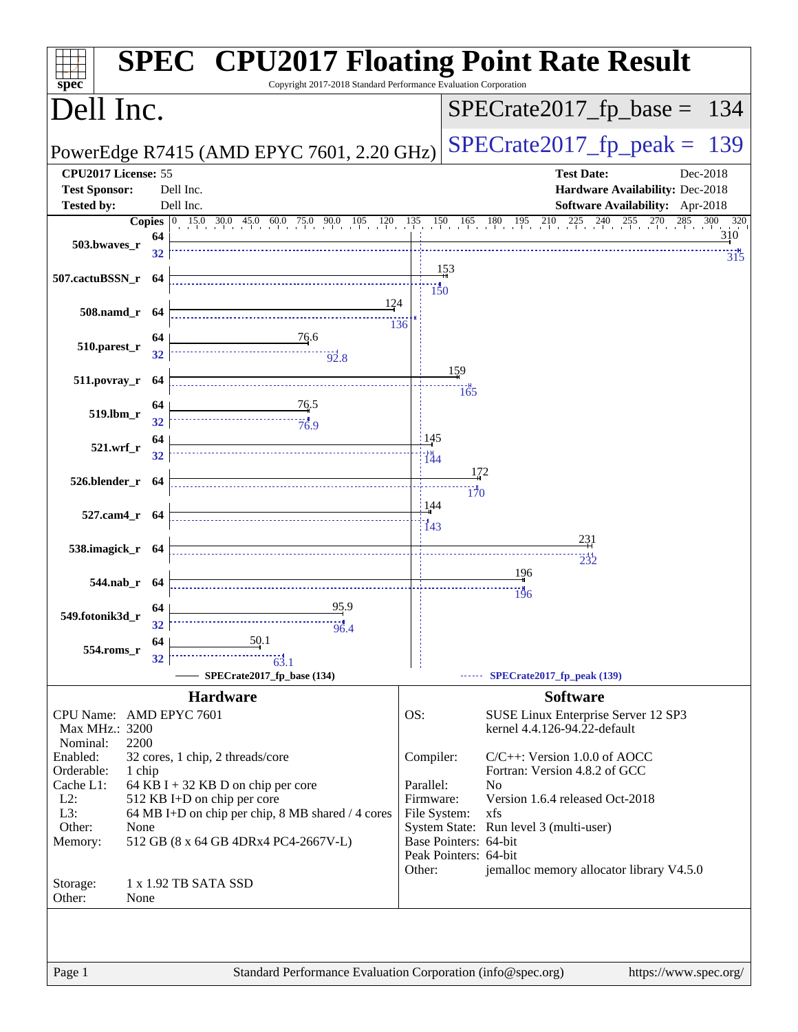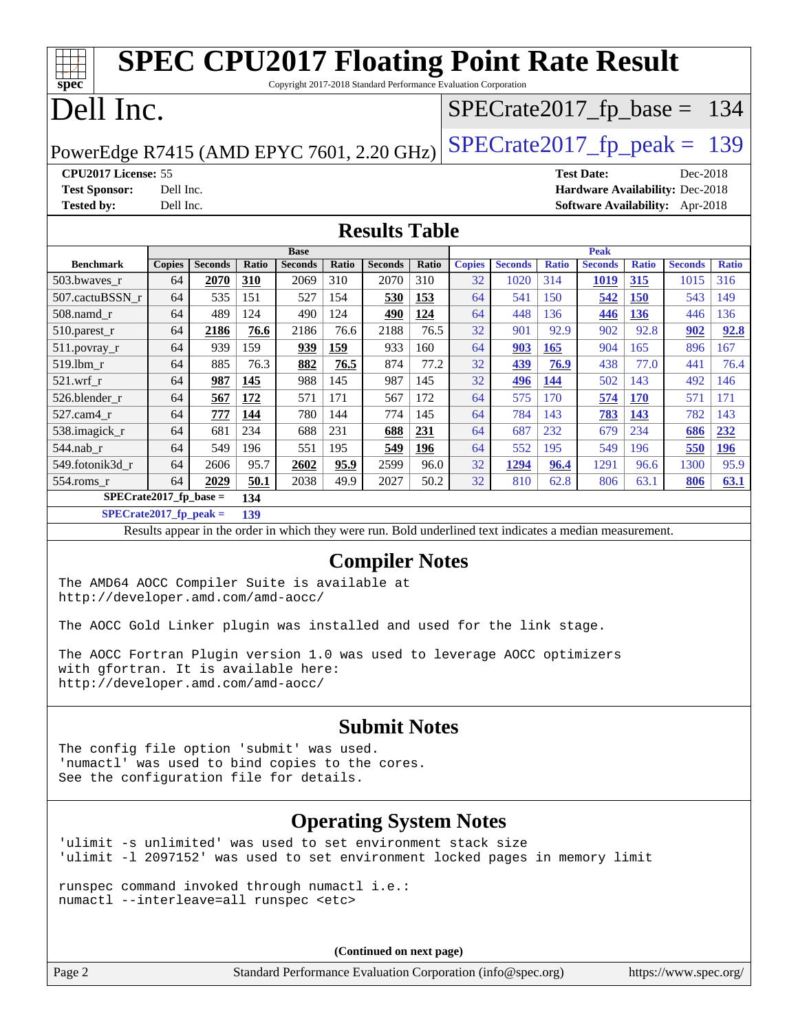| <b>SPEC CPU2017 Floating Point Rate Result</b><br>Copyright 2017-2018 Standard Performance Evaluation Corporation<br>spec <sup>®</sup>                         |               |                |       |                |              |                       |       |               |                |              |                   |              |                               |              |
|----------------------------------------------------------------------------------------------------------------------------------------------------------------|---------------|----------------|-------|----------------|--------------|-----------------------|-------|---------------|----------------|--------------|-------------------|--------------|-------------------------------|--------------|
| Dell Inc.                                                                                                                                                      |               |                |       |                |              |                       |       |               |                |              |                   |              | $SPECrate2017_fp\_base = 134$ |              |
| PowerEdge R7415 (AMD EPYC 7601, 2.20 GHz)                                                                                                                      |               |                |       |                |              |                       |       |               |                |              |                   |              | $SPECTate2017$ _fp_peak = 139 |              |
| CPU2017 License: 55                                                                                                                                            |               |                |       |                |              |                       |       |               |                |              | <b>Test Date:</b> |              | Dec-2018                      |              |
| <b>Test Sponsor:</b><br>Hardware Availability: Dec-2018<br>Dell Inc.<br><b>Software Availability:</b> Apr-2018                                                 |               |                |       |                |              |                       |       |               |                |              |                   |              |                               |              |
| <b>Tested by:</b>                                                                                                                                              | Dell Inc.     |                |       |                |              |                       |       |               |                |              |                   |              |                               |              |
|                                                                                                                                                                |               |                |       |                |              | <b>Results Table</b>  |       |               |                |              |                   |              |                               |              |
|                                                                                                                                                                |               |                |       | <b>Base</b>    |              |                       |       |               |                |              | <b>Peak</b>       |              |                               |              |
| <b>Benchmark</b>                                                                                                                                               | <b>Copies</b> | <b>Seconds</b> | Ratio | <b>Seconds</b> | <b>Ratio</b> | <b>Seconds</b>        | Ratio | <b>Copies</b> | <b>Seconds</b> | <b>Ratio</b> | <b>Seconds</b>    | <b>Ratio</b> | <b>Seconds</b>                | <b>Ratio</b> |
| 503.bwaves_r                                                                                                                                                   | 64            | 2070           | 310   | 2069           | 310          | 2070                  | 310   | 32            | 1020           | 314          | <b>1019</b>       | <u>315</u>   | 1015                          | 316          |
| 507.cactuBSSN_r                                                                                                                                                | 64            | 535            | 151   | 527            | 154          | 530                   | 153   | 64            | 541            | 150          | 542               | <b>150</b>   | 543                           | 149          |
| 508.namd_r                                                                                                                                                     | 64            | 489            | 124   | 490            | 124          | 490                   | 124   | 64            | 448            | 136          | 446               | <b>136</b>   | 446                           | 136          |
| 510.parest_r                                                                                                                                                   | 64            | 2186           | 76.6  | 2186           | 76.6         | 2188                  | 76.5  | 32            | 901            | 92.9         | 902               | 92.8         | 902                           | 92.8         |
| 511.povray_r                                                                                                                                                   | 64            | 939            | 159   | 939            | 159          | 933                   | 160   | 64            | 903            | 165          | 904               | 165          | 896                           | 167          |
| 519.lbm_r                                                                                                                                                      | 64            | 885            | 76.3  | 882            | 76.5         | 874                   | 77.2  | 32            | 439            | 76.9         | 438               | 77.0         | 441                           | 76.4         |
| $521.wrf_r$                                                                                                                                                    | 64            | 987            | 145   | 988            | 145          | 987                   | 145   | 32            | 496            | 144          | 502               | 143          | 492                           | 146          |
| 526.blender_r                                                                                                                                                  | 64            | 567            | 172   | 571            | 171          | 567                   | 172   | 64            | 575            | 170          | 574               | <b>170</b>   | 571                           | 171          |
| 527.cam4_r                                                                                                                                                     | 64            | 777            | 144   | 780            | 144          | 774                   | 145   | 64            | 784            | 143          | 783               | <u>143</u>   | 782                           | 143          |
| 538.imagick_r                                                                                                                                                  | 64            | 681            | 234   | 688            | 231          | 688                   | 231   | 64            | 687            | 232          | 679               | 234          | 686                           | 232          |
| 544.nab_r                                                                                                                                                      | 64            | 549            | 196   | 551            | 195          | 549                   | 196   | 64            | 552            | 195          | 549               | 196          | 550                           | 196          |
| 549.fotonik3d_r                                                                                                                                                | 64            | 2606           | 95.7  | 2602           | 95.9         | 2599                  | 96.0  | 32            | 1294           | 96.4         | 1291              | 96.6         | 1300                          | 95.9         |
| $554$ .roms_r                                                                                                                                                  | 64            | 2029           | 50.1  | 2038           | 49.9         | 2027                  | 50.2  | 32            | 810            | 62.8         | 806               | 63.1         | 806                           | 63.1         |
| $SPECrate2017_fp\_base =$                                                                                                                                      |               |                | 134   |                |              |                       |       |               |                |              |                   |              |                               |              |
| $SPECrate2017_fp_peak =$<br>139<br>Results appear in the order in which they were run. Bold underlined text indicates a median measurement.                    |               |                |       |                |              |                       |       |               |                |              |                   |              |                               |              |
|                                                                                                                                                                |               |                |       |                |              |                       |       |               |                |              |                   |              |                               |              |
|                                                                                                                                                                |               |                |       |                |              | <b>Compiler Notes</b> |       |               |                |              |                   |              |                               |              |
| The AMD64 AOCC Compiler Suite is available at<br>http://developer.amd.com/amd-aocc/                                                                            |               |                |       |                |              |                       |       |               |                |              |                   |              |                               |              |
| The AOCC Gold Linker plugin was installed and used for the link stage.                                                                                         |               |                |       |                |              |                       |       |               |                |              |                   |              |                               |              |
| The AOCC Fortran Plugin version 1.0 was used to leverage AOCC optimizers<br>with gfortran. It is available here:<br>http://developer.amd.com/amd-aocc/         |               |                |       |                |              |                       |       |               |                |              |                   |              |                               |              |
| <b>Submit Notes</b><br>The config file option 'submit' was used.<br>'numactl' was used to bind copies to the cores.<br>See the configuration file for details. |               |                |       |                |              |                       |       |               |                |              |                   |              |                               |              |

#### **[Operating System Notes](http://www.spec.org/auto/cpu2017/Docs/result-fields.html#OperatingSystemNotes)**

'ulimit -s unlimited' was used to set environment stack size 'ulimit -l 2097152' was used to set environment locked pages in memory limit

runspec command invoked through numactl i.e.: numactl --interleave=all runspec <etc>

**(Continued on next page)**

Page 2 Standard Performance Evaluation Corporation [\(info@spec.org\)](mailto:info@spec.org) <https://www.spec.org/>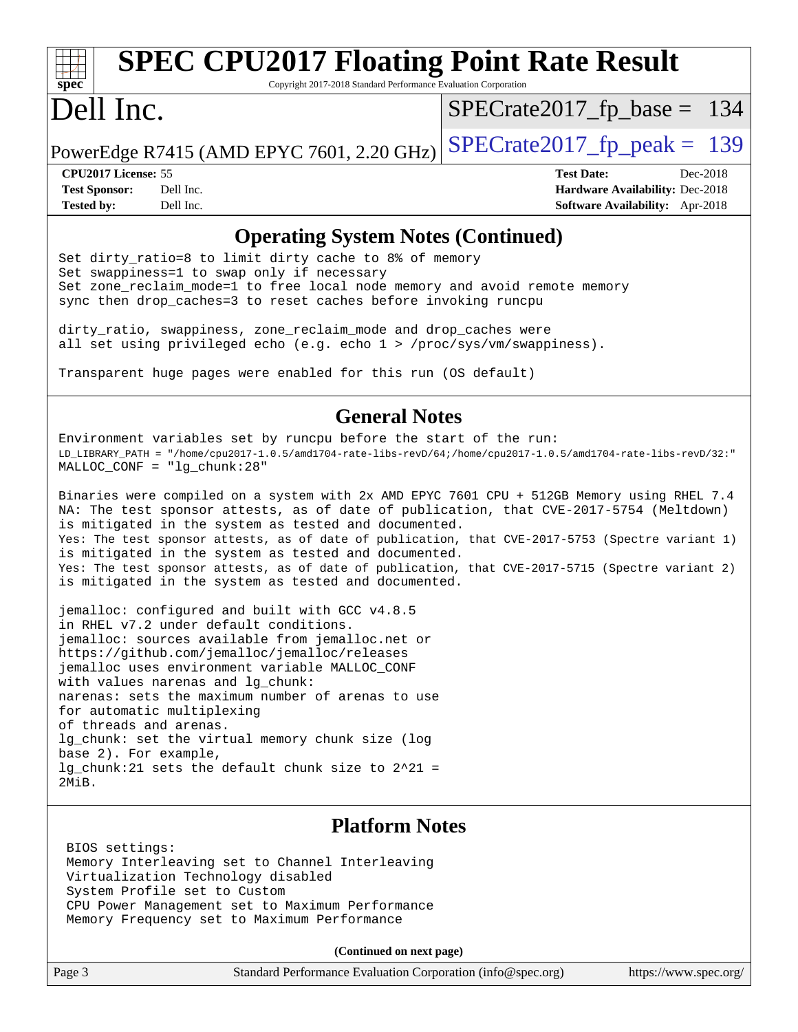# **[spec](http://www.spec.org/)**

# **[SPEC CPU2017 Floating Point Rate Result](http://www.spec.org/auto/cpu2017/Docs/result-fields.html#SPECCPU2017FloatingPointRateResult)**

Copyright 2017-2018 Standard Performance Evaluation Corporation

## Dell Inc.

[SPECrate2017\\_fp\\_base =](http://www.spec.org/auto/cpu2017/Docs/result-fields.html#SPECrate2017fpbase) 134

PowerEdge R7415 (AMD EPYC 7601, 2.20 GHz)  $\text{SPECrate2017\_fp\_peak} = 139$ 

**[CPU2017 License:](http://www.spec.org/auto/cpu2017/Docs/result-fields.html#CPU2017License)** 55 **[Test Date:](http://www.spec.org/auto/cpu2017/Docs/result-fields.html#TestDate)** Dec-2018 **[Test Sponsor:](http://www.spec.org/auto/cpu2017/Docs/result-fields.html#TestSponsor)** Dell Inc. **[Hardware Availability:](http://www.spec.org/auto/cpu2017/Docs/result-fields.html#HardwareAvailability)** Dec-2018 **[Tested by:](http://www.spec.org/auto/cpu2017/Docs/result-fields.html#Testedby)** Dell Inc. **[Software Availability:](http://www.spec.org/auto/cpu2017/Docs/result-fields.html#SoftwareAvailability)** Apr-2018

#### **[Operating System Notes \(Continued\)](http://www.spec.org/auto/cpu2017/Docs/result-fields.html#OperatingSystemNotes)**

Set dirty\_ratio=8 to limit dirty cache to 8% of memory Set swappiness=1 to swap only if necessary Set zone\_reclaim\_mode=1 to free local node memory and avoid remote memory sync then drop\_caches=3 to reset caches before invoking runcpu

dirty\_ratio, swappiness, zone\_reclaim\_mode and drop\_caches were all set using privileged echo (e.g. echo 1 > /proc/sys/vm/swappiness).

Transparent huge pages were enabled for this run (OS default)

#### **[General Notes](http://www.spec.org/auto/cpu2017/Docs/result-fields.html#GeneralNotes)**

Environment variables set by runcpu before the start of the run: LD\_LIBRARY\_PATH = "/home/cpu2017-1.0.5/amd1704-rate-libs-revD/64;/home/cpu2017-1.0.5/amd1704-rate-libs-revD/32:" MALLOC\_CONF = "lg\_chunk:28"

Binaries were compiled on a system with 2x AMD EPYC 7601 CPU + 512GB Memory using RHEL 7.4 NA: The test sponsor attests, as of date of publication, that CVE-2017-5754 (Meltdown) is mitigated in the system as tested and documented. Yes: The test sponsor attests, as of date of publication, that CVE-2017-5753 (Spectre variant 1) is mitigated in the system as tested and documented. Yes: The test sponsor attests, as of date of publication, that CVE-2017-5715 (Spectre variant 2) is mitigated in the system as tested and documented.

jemalloc: configured and built with GCC v4.8.5 in RHEL v7.2 under default conditions. jemalloc: sources available from jemalloc.net or <https://github.com/jemalloc/jemalloc/releases> jemalloc uses environment variable MALLOC\_CONF with values narenas and lg\_chunk: narenas: sets the maximum number of arenas to use for automatic multiplexing of threads and arenas. lg chunk: set the virtual memory chunk size (log base 2). For example, lg\_chunk:21 sets the default chunk size to 2^21 = 2MiB.

#### **[Platform Notes](http://www.spec.org/auto/cpu2017/Docs/result-fields.html#PlatformNotes)**

 BIOS settings: Memory Interleaving set to Channel Interleaving Virtualization Technology disabled System Profile set to Custom CPU Power Management set to Maximum Performance Memory Frequency set to Maximum Performance

**(Continued on next page)**

| Page 3 | Standard Performance Evaluation Corporation (info@spec.org) | https://www.spec.org/ |
|--------|-------------------------------------------------------------|-----------------------|
|--------|-------------------------------------------------------------|-----------------------|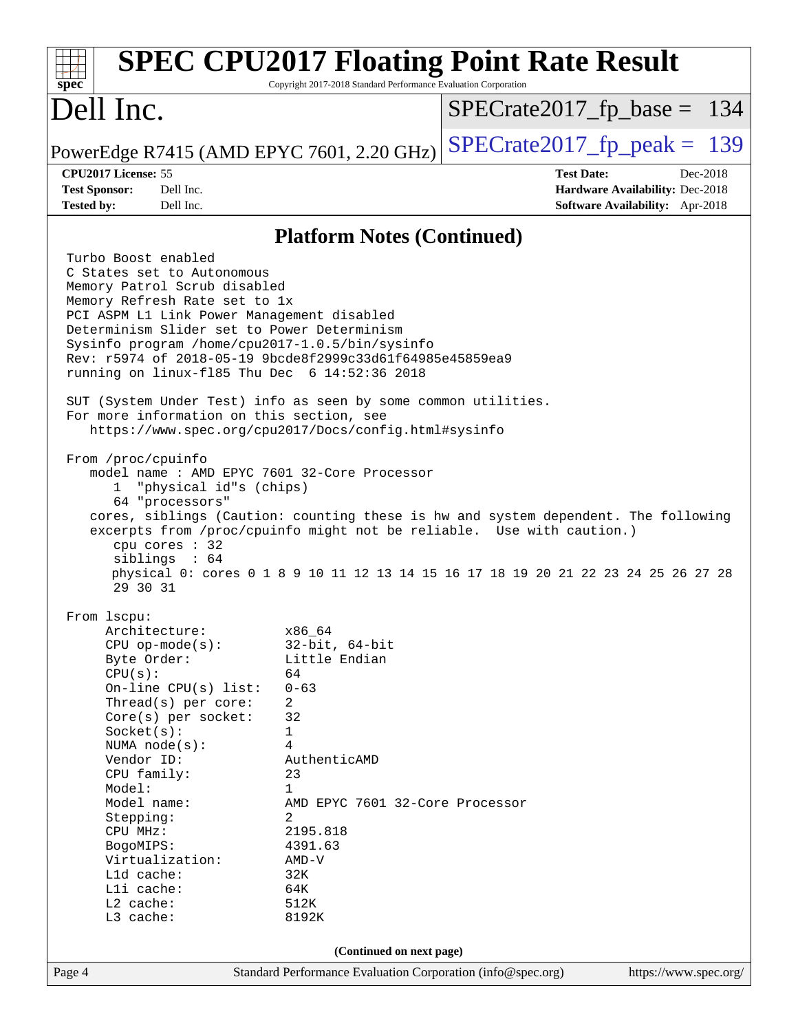| spec <sup>®</sup>                                                                                                                                        |                                                                                                                                                                                                                                                                                                                     | <b>SPEC CPU2017 Floating Point Rate Result</b><br>Copyright 2017-2018 Standard Performance Evaluation Corporation                                                                                                                                                                                                                                                                                                                                                                                      |                               |                                                                                       |
|----------------------------------------------------------------------------------------------------------------------------------------------------------|---------------------------------------------------------------------------------------------------------------------------------------------------------------------------------------------------------------------------------------------------------------------------------------------------------------------|--------------------------------------------------------------------------------------------------------------------------------------------------------------------------------------------------------------------------------------------------------------------------------------------------------------------------------------------------------------------------------------------------------------------------------------------------------------------------------------------------------|-------------------------------|---------------------------------------------------------------------------------------|
| Dell Inc.                                                                                                                                                |                                                                                                                                                                                                                                                                                                                     |                                                                                                                                                                                                                                                                                                                                                                                                                                                                                                        | $SPECrate2017_fp\_base = 134$ |                                                                                       |
|                                                                                                                                                          |                                                                                                                                                                                                                                                                                                                     | PowerEdge R7415 (AMD EPYC 7601, 2.20 GHz)                                                                                                                                                                                                                                                                                                                                                                                                                                                              | $SPECrate2017_fp\_peak = 139$ |                                                                                       |
| CPU2017 License: 55<br><b>Test Sponsor:</b><br><b>Tested by:</b>                                                                                         | Dell Inc.<br>Dell Inc.                                                                                                                                                                                                                                                                                              |                                                                                                                                                                                                                                                                                                                                                                                                                                                                                                        | <b>Test Date:</b>             | Dec-2018<br><b>Hardware Availability: Dec-2018</b><br>Software Availability: Apr-2018 |
|                                                                                                                                                          |                                                                                                                                                                                                                                                                                                                     | <b>Platform Notes (Continued)</b>                                                                                                                                                                                                                                                                                                                                                                                                                                                                      |                               |                                                                                       |
| Turbo Boost enabled<br>From /proc/cpuinfo<br>$\mathbf{1}$                                                                                                | C States set to Autonomous<br>Memory Patrol Scrub disabled<br>Memory Refresh Rate set to 1x<br>PCI ASPM L1 Link Power Management disabled<br>Determinism Slider set to Power Determinism<br>For more information on this section, see<br>"physical id"s (chips)<br>64 "processors"<br>cpu cores : 32<br>sibling: 64 | Sysinfo program /home/cpu2017-1.0.5/bin/sysinfo<br>Rev: r5974 of 2018-05-19 9bcde8f2999c33d61f64985e45859ea9<br>running on linux-f185 Thu Dec 6 14:52:36 2018<br>SUT (System Under Test) info as seen by some common utilities.<br>https://www.spec.org/cpu2017/Docs/config.html#sysinfo<br>model name: AMD EPYC 7601 32-Core Processor<br>cores, siblings (Caution: counting these is hw and system dependent. The following<br>excerpts from /proc/cpuinfo might not be reliable. Use with caution.) |                               |                                                                                       |
|                                                                                                                                                          | 29 30 31                                                                                                                                                                                                                                                                                                            | physical 0: cores 0 1 8 9 10 11 12 13 14 15 16 17 18 19 20 21 22 23 24 25 26 27 28                                                                                                                                                                                                                                                                                                                                                                                                                     |                               |                                                                                       |
| From lscpu:<br>CPU(s):<br>Socket(s):<br>Vendor ID:<br>Model:<br>Stepping:<br>CPU MHz:<br>BogoMIPS:<br>L1d cache:<br>Lli cache:<br>L2 cache:<br>L3 cache: | Architecture:<br>$CPU$ op-mode( $s$ ):<br>Byte Order:<br>On-line CPU(s) list:<br>Thread(s) per core:<br>Core(s) per socket:<br>NUMA $node(s)$ :<br>CPU family:<br>Model name:<br>Virtualization:                                                                                                                    | x86_64<br>$32$ -bit, $64$ -bit<br>Little Endian<br>64<br>$0 - 63$<br>2<br>32<br>1<br>4<br>AuthenticAMD<br>23<br>1<br>AMD EPYC 7601 32-Core Processor<br>2<br>2195.818<br>4391.63<br>$AMD-V$<br>32K<br>64K<br>512K<br>8192K                                                                                                                                                                                                                                                                             |                               |                                                                                       |
|                                                                                                                                                          | (Continued on next page)                                                                                                                                                                                                                                                                                            |                                                                                                                                                                                                                                                                                                                                                                                                                                                                                                        |                               |                                                                                       |
| Page 4                                                                                                                                                   |                                                                                                                                                                                                                                                                                                                     | Standard Performance Evaluation Corporation (info@spec.org)                                                                                                                                                                                                                                                                                                                                                                                                                                            |                               | https://www.spec.org/                                                                 |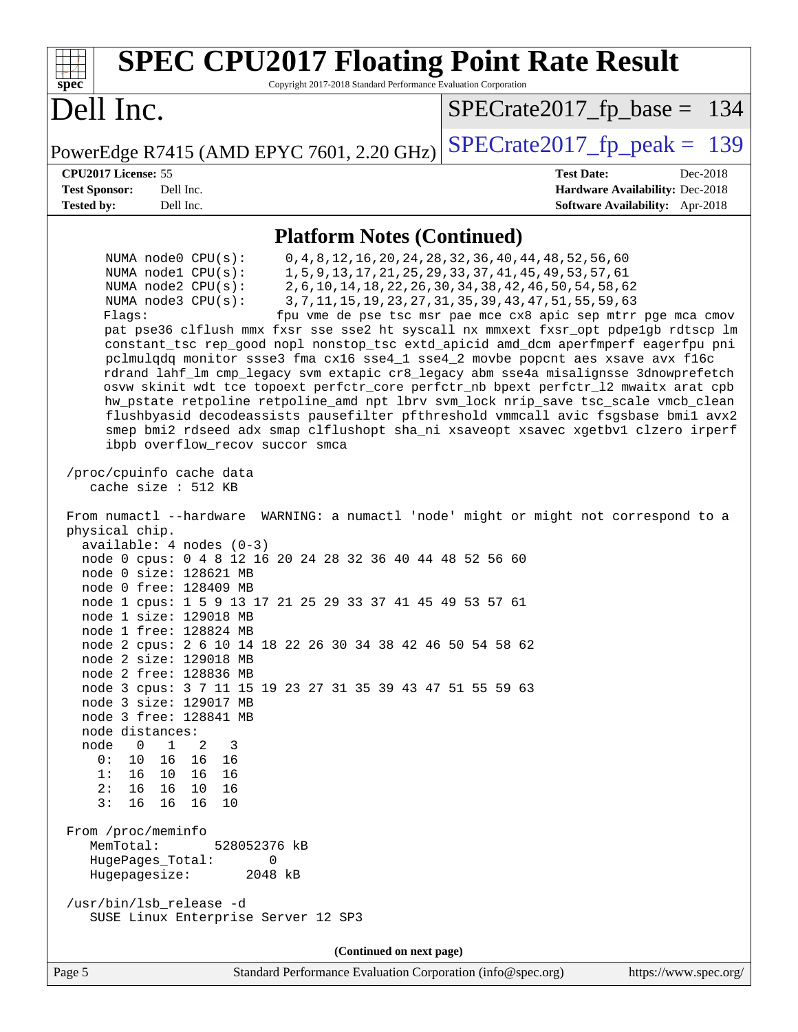| <b>SPEC CPU2017 Floating Point Rate Result</b><br>Copyright 2017-2018 Standard Performance Evaluation Corporation<br>spec                                                                                                                                                                                                                                                                                                                                                                                                                                                                                                                                                                                                                                                                                                                                                                                                                                                                                                                                                                                                                                                                                                                                                                                                                                                                                                                                                                                                                                                                                                                                                                                                                                                                                                                                 |                                                                                                                                                                                                                                                                                                                             |
|-----------------------------------------------------------------------------------------------------------------------------------------------------------------------------------------------------------------------------------------------------------------------------------------------------------------------------------------------------------------------------------------------------------------------------------------------------------------------------------------------------------------------------------------------------------------------------------------------------------------------------------------------------------------------------------------------------------------------------------------------------------------------------------------------------------------------------------------------------------------------------------------------------------------------------------------------------------------------------------------------------------------------------------------------------------------------------------------------------------------------------------------------------------------------------------------------------------------------------------------------------------------------------------------------------------------------------------------------------------------------------------------------------------------------------------------------------------------------------------------------------------------------------------------------------------------------------------------------------------------------------------------------------------------------------------------------------------------------------------------------------------------------------------------------------------------------------------------------------------|-----------------------------------------------------------------------------------------------------------------------------------------------------------------------------------------------------------------------------------------------------------------------------------------------------------------------------|
| Dell Inc.                                                                                                                                                                                                                                                                                                                                                                                                                                                                                                                                                                                                                                                                                                                                                                                                                                                                                                                                                                                                                                                                                                                                                                                                                                                                                                                                                                                                                                                                                                                                                                                                                                                                                                                                                                                                                                                 | $SPECrate2017_fp\_base = 134$                                                                                                                                                                                                                                                                                               |
| PowerEdge R7415 (AMD EPYC 7601, 2.20 GHz)                                                                                                                                                                                                                                                                                                                                                                                                                                                                                                                                                                                                                                                                                                                                                                                                                                                                                                                                                                                                                                                                                                                                                                                                                                                                                                                                                                                                                                                                                                                                                                                                                                                                                                                                                                                                                 | $SPECTate2017$ _fp_peak = 139                                                                                                                                                                                                                                                                                               |
| CPU2017 License: 55<br><b>Test Sponsor:</b><br>Dell Inc.<br><b>Tested by:</b><br>Dell Inc.                                                                                                                                                                                                                                                                                                                                                                                                                                                                                                                                                                                                                                                                                                                                                                                                                                                                                                                                                                                                                                                                                                                                                                                                                                                                                                                                                                                                                                                                                                                                                                                                                                                                                                                                                                | <b>Test Date:</b><br>Dec-2018<br>Hardware Availability: Dec-2018<br>Software Availability: Apr-2018                                                                                                                                                                                                                         |
| <b>Platform Notes (Continued)</b>                                                                                                                                                                                                                                                                                                                                                                                                                                                                                                                                                                                                                                                                                                                                                                                                                                                                                                                                                                                                                                                                                                                                                                                                                                                                                                                                                                                                                                                                                                                                                                                                                                                                                                                                                                                                                         |                                                                                                                                                                                                                                                                                                                             |
| NUMA $node0$ $CPU(s)$ :<br>NUMA nodel CPU(s):<br>NUMA $node2$ $CPU(s):$<br>NUMA node3 CPU(s):<br>Flags:<br>pat pse36 clflush mmx fxsr sse sse2 ht syscall nx mmxext fxsr_opt pdpelgb rdtscp lm<br>constant_tsc rep_good nopl nonstop_tsc extd_apicid amd_dcm aperfmperf eagerfpu pni<br>pclmulqdq monitor ssse3 fma cx16 sse4_1 sse4_2 movbe popcnt aes xsave avx f16c<br>rdrand lahf_lm cmp_legacy svm extapic cr8_legacy abm sse4a misalignsse 3dnowprefetch<br>osvw skinit wdt tce topoext perfctr_core perfctr_nb bpext perfctr_12 mwaitx arat cpb<br>hw_pstate retpoline retpoline_amd npt lbrv svm_lock nrip_save tsc_scale vmcb_clean<br>flushbyasid decodeassists pausefilter pfthreshold vmmcall avic fsgsbase bmil avx2<br>smep bmi2 rdseed adx smap clflushopt sha_ni xsaveopt xsavec xgetbvl clzero irperf<br>ibpb overflow_recov succor smca<br>/proc/cpuinfo cache data<br>cache size : 512 KB<br>From numactl --hardware WARNING: a numactl 'node' might or might not correspond to a<br>physical chip.<br>$available: 4 nodes (0-3)$<br>node 0 cpus: 0 4 8 12 16 20 24 28 32 36 40 44 48 52 56 60<br>node 0 size: 128621 MB<br>node 0 free: 128409 MB<br>node 1 cpus: 1 5 9 13 17 21 25 29 33 37 41 45 49 53 57 61<br>node 1 size: 129018 MB<br>node 1 free: 128824 MB<br>node 2 cpus: 2 6 10 14 18 22 26 30 34 38 42 46 50 54 58 62<br>node 2 size: 129018 MB<br>node 2 free: 128836 MB<br>node 3 cpus: 3 7 11 15 19 23 27 31 35 39 43 47 51 55 59 63<br>node 3 size: 129017 MB<br>node 3 free: 128841 MB<br>node distances:<br>$\mathbf{1}$<br>node<br>$\overline{0}$<br>2<br>-3<br>0: 10 16 16 16<br>1: 16 10 16 16<br>2: 16 16 10 16<br>3:16<br>16 16<br>10<br>From /proc/meminfo<br>MemTotal:<br>528052376 kB<br>HugePages_Total:<br>0<br>Hugepagesize:<br>2048 kB<br>/usr/bin/lsb_release -d<br>SUSE Linux Enterprise Server 12 SP3 | 0, 4, 8, 12, 16, 20, 24, 28, 32, 36, 40, 44, 48, 52, 56, 60<br>1, 5, 9, 13, 17, 21, 25, 29, 33, 37, 41, 45, 49, 53, 57, 61<br>2, 6, 10, 14, 18, 22, 26, 30, 34, 38, 42, 46, 50, 54, 58, 62<br>3, 7, 11, 15, 19, 23, 27, 31, 35, 39, 43, 47, 51, 55, 59, 63<br>fpu vme de pse tsc msr pae mce cx8 apic sep mtrr pge mca cmov |
| (Continued on next page)                                                                                                                                                                                                                                                                                                                                                                                                                                                                                                                                                                                                                                                                                                                                                                                                                                                                                                                                                                                                                                                                                                                                                                                                                                                                                                                                                                                                                                                                                                                                                                                                                                                                                                                                                                                                                                  |                                                                                                                                                                                                                                                                                                                             |

Page 5 Standard Performance Evaluation Corporation [\(info@spec.org\)](mailto:info@spec.org) <https://www.spec.org/>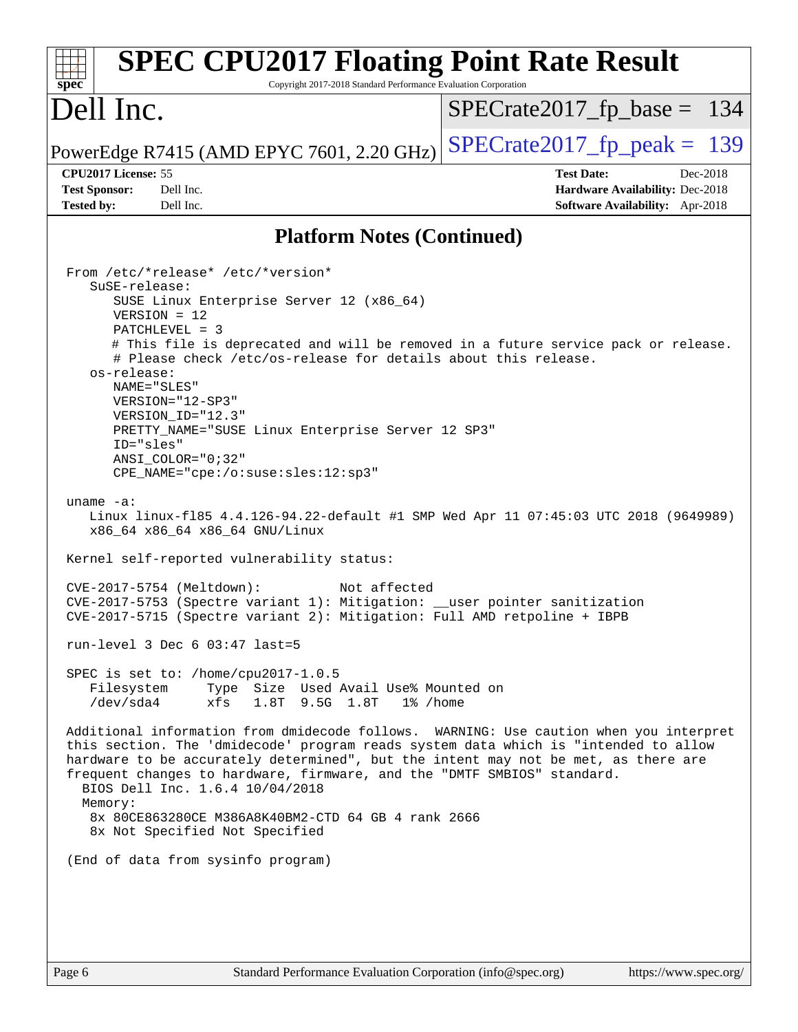| $SPECrate2017_fp\_base = 134$<br>$SPECrate2017_fp\_peak = 139$<br>CPU2017 License: 55<br><b>Test Date:</b><br>Dec-2018<br><b>Test Sponsor:</b><br>Dell Inc.<br>Hardware Availability: Dec-2018<br>Dell Inc.<br><b>Tested by:</b><br>Software Availability: Apr-2018<br><b>Platform Notes (Continued)</b><br>From /etc/*release* /etc/*version*<br>SuSE-release:<br>SUSE Linux Enterprise Server 12 (x86_64)<br>$VERSION = 12$<br>$PATCHLEVEL = 3$<br># This file is deprecated and will be removed in a future service pack or release.<br># Please check /etc/os-release for details about this release.<br>os-release:<br>NAME="SLES"<br>VERSION="12-SP3"<br>VERSION_ID="12.3"<br>PRETTY_NAME="SUSE Linux Enterprise Server 12 SP3"<br>ID="sles"<br>ANSI_COLOR="0;32"<br>CPE_NAME="cpe:/o:suse:sles:12:sp3"<br>uname $-a$ :<br>Linux linux-f185 4.4.126-94.22-default #1 SMP Wed Apr 11 07:45:03 UTC 2018 (9649989)<br>x86_64 x86_64 x86_64 GNU/Linux<br>Kernel self-reported vulnerability status:<br>Not affected<br>CVE-2017-5754 (Meltdown):<br>CVE-2017-5753 (Spectre variant 1): Mitigation: __user pointer sanitization<br>CVE-2017-5715 (Spectre variant 2): Mitigation: Full AMD retpoline + IBPB<br>run-level 3 Dec $6$ 03:47 last=5<br>SPEC is set to: /home/cpu2017-1.0.5<br>Type Size Used Avail Use% Mounted on<br>Filesystem<br>$/\text{dev/sda4}$<br>xfs<br>1.8T 9.5G 1.8T<br>$1\%$ /home<br>Additional information from dmidecode follows. WARNING: Use caution when you interpret<br>this section. The 'dmidecode' program reads system data which is "intended to allow<br>hardware to be accurately determined", but the intent may not be met, as there are<br>frequent changes to hardware, firmware, and the "DMTF SMBIOS" standard.<br>BIOS Dell Inc. 1.6.4 10/04/2018 | <b>SPEC CPU2017 Floating Point Rate Result</b><br>Copyright 2017-2018 Standard Performance Evaluation Corporation<br>spec <sup>®</sup> |  |
|--------------------------------------------------------------------------------------------------------------------------------------------------------------------------------------------------------------------------------------------------------------------------------------------------------------------------------------------------------------------------------------------------------------------------------------------------------------------------------------------------------------------------------------------------------------------------------------------------------------------------------------------------------------------------------------------------------------------------------------------------------------------------------------------------------------------------------------------------------------------------------------------------------------------------------------------------------------------------------------------------------------------------------------------------------------------------------------------------------------------------------------------------------------------------------------------------------------------------------------------------------------------------------------------------------------------------------------------------------------------------------------------------------------------------------------------------------------------------------------------------------------------------------------------------------------------------------------------------------------------------------------------------------------------------------------------------------------------------------------------------------------------------------------------------|----------------------------------------------------------------------------------------------------------------------------------------|--|
|                                                                                                                                                                                                                                                                                                                                                                                                                                                                                                                                                                                                                                                                                                                                                                                                                                                                                                                                                                                                                                                                                                                                                                                                                                                                                                                                                                                                                                                                                                                                                                                                                                                                                                                                                                                                  | Dell Inc.                                                                                                                              |  |
|                                                                                                                                                                                                                                                                                                                                                                                                                                                                                                                                                                                                                                                                                                                                                                                                                                                                                                                                                                                                                                                                                                                                                                                                                                                                                                                                                                                                                                                                                                                                                                                                                                                                                                                                                                                                  | PowerEdge R7415 (AMD EPYC 7601, 2.20 GHz)                                                                                              |  |
|                                                                                                                                                                                                                                                                                                                                                                                                                                                                                                                                                                                                                                                                                                                                                                                                                                                                                                                                                                                                                                                                                                                                                                                                                                                                                                                                                                                                                                                                                                                                                                                                                                                                                                                                                                                                  |                                                                                                                                        |  |
|                                                                                                                                                                                                                                                                                                                                                                                                                                                                                                                                                                                                                                                                                                                                                                                                                                                                                                                                                                                                                                                                                                                                                                                                                                                                                                                                                                                                                                                                                                                                                                                                                                                                                                                                                                                                  |                                                                                                                                        |  |
| 8x 80CE863280CE M386A8K40BM2-CTD 64 GB 4 rank 2666<br>8x Not Specified Not Specified<br>(End of data from sysinfo program)                                                                                                                                                                                                                                                                                                                                                                                                                                                                                                                                                                                                                                                                                                                                                                                                                                                                                                                                                                                                                                                                                                                                                                                                                                                                                                                                                                                                                                                                                                                                                                                                                                                                       | Memory:                                                                                                                                |  |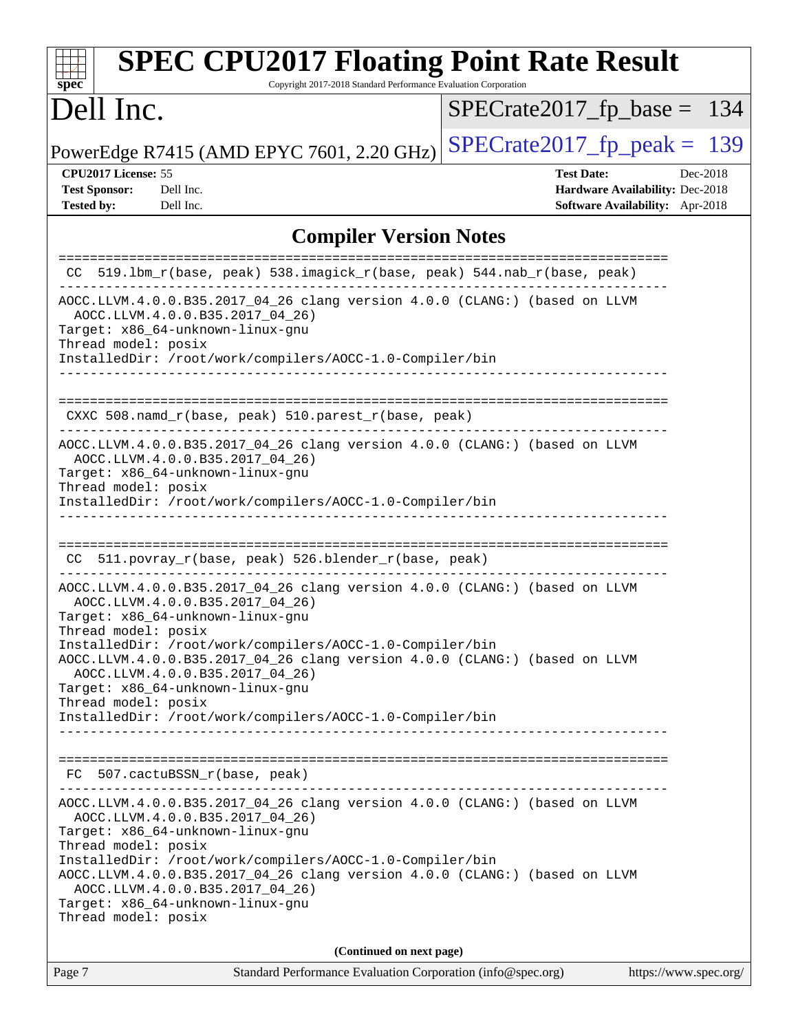| <b>SPEC CPU2017 Floating Point Rate Result</b><br>Copyright 2017-2018 Standard Performance Evaluation Corporation<br>$spec^*$                                                                                                                                                                                                                                                                                    |                                                                                                     |
|------------------------------------------------------------------------------------------------------------------------------------------------------------------------------------------------------------------------------------------------------------------------------------------------------------------------------------------------------------------------------------------------------------------|-----------------------------------------------------------------------------------------------------|
| Dell Inc.                                                                                                                                                                                                                                                                                                                                                                                                        | $SPECrate2017_fp\_base = 134$                                                                       |
| PowerEdge R7415 (AMD EPYC 7601, 2.20 GHz)                                                                                                                                                                                                                                                                                                                                                                        | $SPECTate2017$ _fp_peak = 139                                                                       |
| CPU2017 License: 55<br><b>Test Sponsor:</b><br>Dell Inc.<br><b>Tested by:</b><br>Dell Inc.                                                                                                                                                                                                                                                                                                                       | <b>Test Date:</b><br>Dec-2018<br>Hardware Availability: Dec-2018<br>Software Availability: Apr-2018 |
| <b>Compiler Version Notes</b>                                                                                                                                                                                                                                                                                                                                                                                    |                                                                                                     |
| 519.1bm_r(base, peak) 538.imagick_r(base, peak) 544.nab_r(base, peak)<br>CC.                                                                                                                                                                                                                                                                                                                                     |                                                                                                     |
| AOCC.LLVM.4.0.0.B35.2017_04_26 clang version 4.0.0 (CLANG:) (based on LLVM<br>AOCC.LLVM.4.0.0.B35.2017_04_26)<br>Target: x86_64-unknown-linux-gnu<br>Thread model: posix<br>InstalledDir: /root/work/compilers/AOCC-1.0-Compiler/bin                                                                                                                                                                             |                                                                                                     |
| CXXC 508.namd_r(base, peak) 510.parest_r(base, peak)                                                                                                                                                                                                                                                                                                                                                             |                                                                                                     |
| AOCC.LLVM.4.0.0.B35.2017_04_26 clang version 4.0.0 (CLANG:) (based on LLVM<br>AOCC.LLVM.4.0.0.B35.2017_04_26)<br>Target: x86_64-unknown-linux-gnu<br>Thread model: posix<br>InstalledDir: /root/work/compilers/AOCC-1.0-Compiler/bin<br>511.povray_r(base, peak) 526.blender_r(base, peak)<br>CC.                                                                                                                |                                                                                                     |
| AOCC.LLVM.4.0.0.B35.2017_04_26 clang version 4.0.0 (CLANG:) (based on LLVM<br>AOCC.LLVM.4.0.0.B35.2017_04_26)<br>Target: x86_64-unknown-linux-gnu<br>Thread model: posix<br>InstalledDir: /root/work/compilers/AOCC-1.0-Compiler/bin                                                                                                                                                                             |                                                                                                     |
| AOCC.LLVM.4.0.0.B35.2017_04_26 clang version 4.0.0 (CLANG:) (based on LLVM<br>AOCC.LLVM.4.0.0.B35.2017_04_26)<br>Target: x86_64-unknown-linux-gnu<br>Thread model: posix<br>InstalledDir: /root/work/compilers/AOCC-1.0-Compiler/bin                                                                                                                                                                             |                                                                                                     |
| FC 507.cactuBSSN_r(base, peak)<br>-------------------------------                                                                                                                                                                                                                                                                                                                                                |                                                                                                     |
| AOCC.LLVM.4.0.0.B35.2017_04_26 clang version 4.0.0 (CLANG:) (based on LLVM<br>AOCC.LLVM.4.0.0.B35.2017_04_26)<br>Target: x86_64-unknown-linux-gnu<br>Thread model: posix<br>InstalledDir: /root/work/compilers/AOCC-1.0-Compiler/bin<br>AOCC.LLVM.4.0.0.B35.2017_04_26 clang version 4.0.0 (CLANG:) (based on LLVM<br>AOCC.LLVM.4.0.0.B35.2017_04_26)<br>Target: x86_64-unknown-linux-gnu<br>Thread model: posix |                                                                                                     |
| (Continued on next page)                                                                                                                                                                                                                                                                                                                                                                                         |                                                                                                     |
| Standard Performance Evaluation Corporation (info@spec.org)<br>Page 7                                                                                                                                                                                                                                                                                                                                            | https://www.spec.org/                                                                               |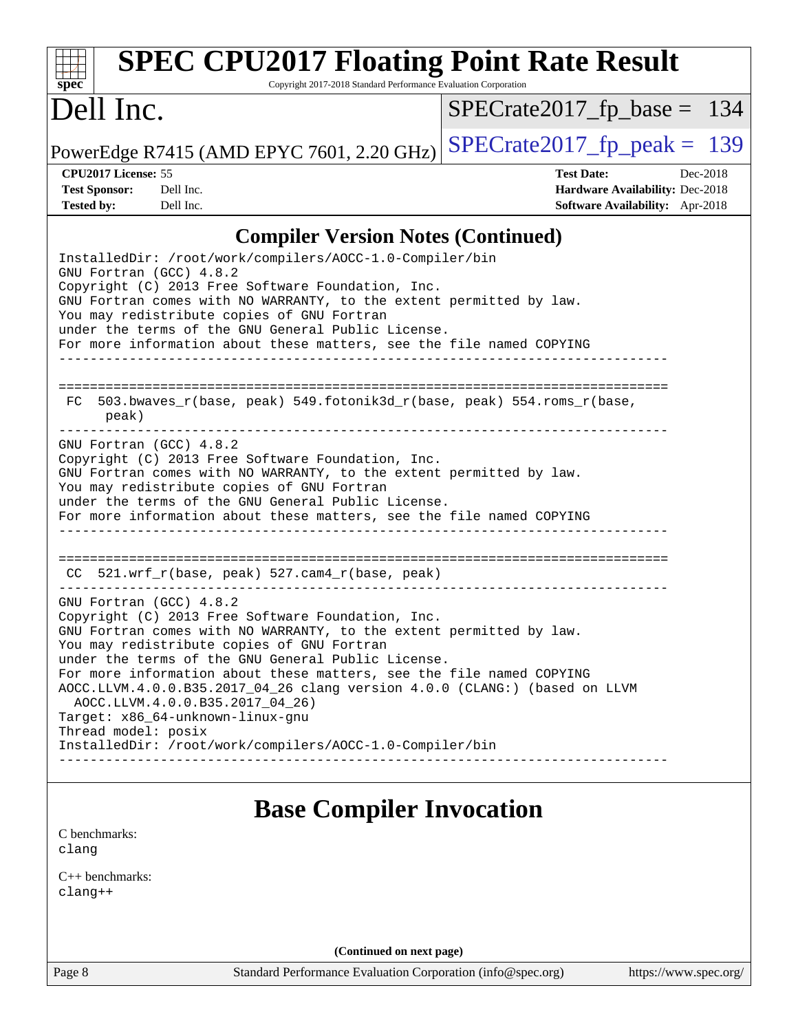| Dell Inc.                                                                                                                                                                                                                                                                                                                                                                                                                                                                                                                                                               | $SPECrate2017_fp\_base = 134$                                                                                     |
|-------------------------------------------------------------------------------------------------------------------------------------------------------------------------------------------------------------------------------------------------------------------------------------------------------------------------------------------------------------------------------------------------------------------------------------------------------------------------------------------------------------------------------------------------------------------------|-------------------------------------------------------------------------------------------------------------------|
| PowerEdge R7415 (AMD EPYC 7601, 2.20 GHz)                                                                                                                                                                                                                                                                                                                                                                                                                                                                                                                               | $SPECTate2017$ _fp_peak = 139                                                                                     |
| CPU2017 License: 55<br><b>Test Sponsor:</b><br>Dell Inc.<br><b>Tested by:</b><br>Dell Inc.                                                                                                                                                                                                                                                                                                                                                                                                                                                                              | <b>Test Date:</b><br>Dec-2018<br><b>Hardware Availability: Dec-2018</b><br><b>Software Availability:</b> Apr-2018 |
| <b>Compiler Version Notes (Continued)</b>                                                                                                                                                                                                                                                                                                                                                                                                                                                                                                                               |                                                                                                                   |
| InstalledDir: /root/work/compilers/AOCC-1.0-Compiler/bin<br>GNU Fortran (GCC) 4.8.2<br>Copyright (C) 2013 Free Software Foundation, Inc.<br>GNU Fortran comes with NO WARRANTY, to the extent permitted by law.<br>You may redistribute copies of GNU Fortran<br>under the terms of the GNU General Public License.<br>For more information about these matters, see the file named COPYING                                                                                                                                                                             |                                                                                                                   |
| 503.bwaves_r(base, peak) 549.fotonik3d_r(base, peak) 554.roms_r(base,<br>FC.<br>peak)                                                                                                                                                                                                                                                                                                                                                                                                                                                                                   |                                                                                                                   |
| GNU Fortran (GCC) 4.8.2<br>Copyright (C) 2013 Free Software Foundation, Inc.<br>GNU Fortran comes with NO WARRANTY, to the extent permitted by law.<br>You may redistribute copies of GNU Fortran<br>under the terms of the GNU General Public License.<br>For more information about these matters, see the file named COPYING                                                                                                                                                                                                                                         |                                                                                                                   |
| 521.wrf_r(base, peak) 527.cam4_r(base, peak)<br>CC.                                                                                                                                                                                                                                                                                                                                                                                                                                                                                                                     | ------------------------------                                                                                    |
| GNU Fortran (GCC) 4.8.2<br>Copyright (C) 2013 Free Software Foundation, Inc.<br>GNU Fortran comes with NO WARRANTY, to the extent permitted by law.<br>You may redistribute copies of GNU Fortran<br>under the terms of the GNU General Public License.<br>For more information about these matters, see the file named COPYING<br>AOCC.LLVM.4.0.0.B35.2017_04_26 clang version 4.0.0 (CLANG:) (based on LLVM<br>AOCC.LLVM.4.0.0.B35.2017_04_26)<br>Target: x86_64-unknown-linux-gnu<br>Thread model: posix<br>InstalledDir: /root/work/compilers/AOCC-1.0-Compiler/bin |                                                                                                                   |

[C benchmarks](http://www.spec.org/auto/cpu2017/Docs/result-fields.html#Cbenchmarks): [clang](http://www.spec.org/cpu2017/results/res2018q4/cpu2017-20181210-10159.flags.html#user_CCbase_Fclang3_a68b77bfed473bd9cdd22529af008e8306c2e3948617c8991604c1a2000ee4a73ef90dd8bc793e105fe4165a625d26dacbda4708d828ad19048918c071b363ec)

[C++ benchmarks:](http://www.spec.org/auto/cpu2017/Docs/result-fields.html#CXXbenchmarks) [clang++](http://www.spec.org/cpu2017/results/res2018q4/cpu2017-20181210-10159.flags.html#user_CXXbase_Fclang3_57a48582e5be507d19b2527b3e7d4f85d9b8669ffc9a8a0dbb9bcf949a918a58bbab411e0c4d14a3922022a3e425a90db94042683824c1806feff4324ca1000d)

**(Continued on next page)**

Page 8 Standard Performance Evaluation Corporation [\(info@spec.org\)](mailto:info@spec.org) <https://www.spec.org/>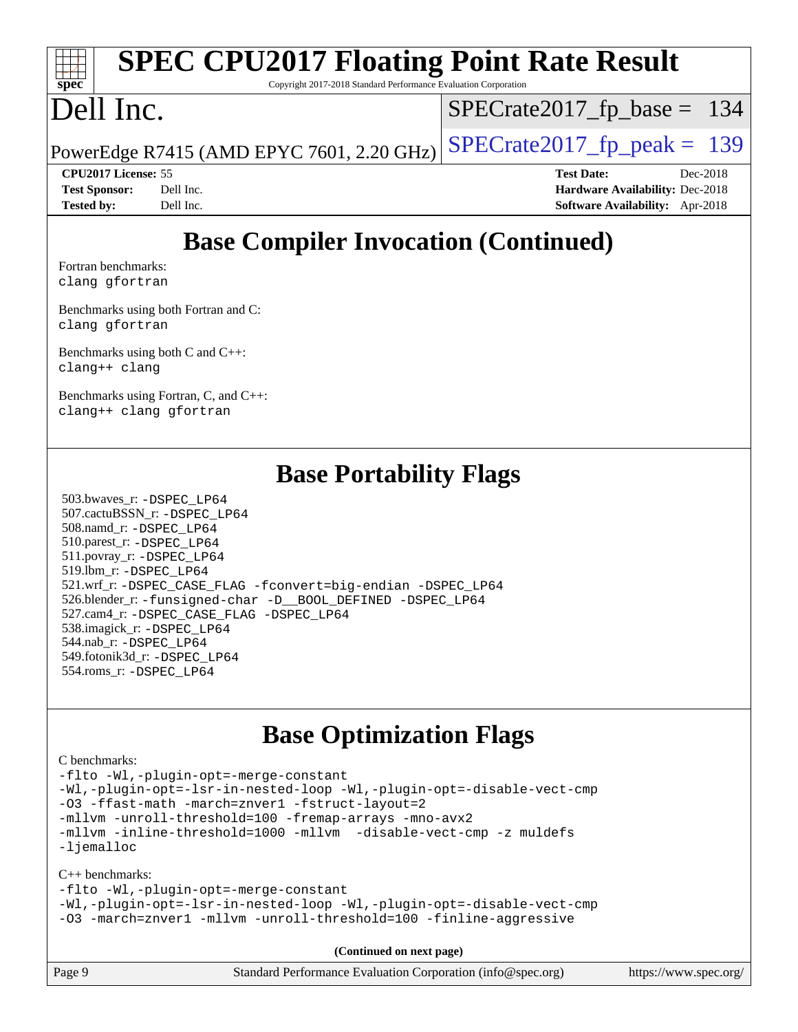#### **[spec](http://www.spec.org/) [SPEC CPU2017 Floating Point Rate Result](http://www.spec.org/auto/cpu2017/Docs/result-fields.html#SPECCPU2017FloatingPointRateResult)**

Copyright 2017-2018 Standard Performance Evaluation Corporation

# Dell Inc.

[SPECrate2017\\_fp\\_base =](http://www.spec.org/auto/cpu2017/Docs/result-fields.html#SPECrate2017fpbase) 134

PowerEdge R7415 (AMD EPYC 7601, 2.20 GHz)  $\left|$  [SPECrate2017\\_fp\\_peak =](http://www.spec.org/auto/cpu2017/Docs/result-fields.html#SPECrate2017fppeak) 139

**[CPU2017 License:](http://www.spec.org/auto/cpu2017/Docs/result-fields.html#CPU2017License)** 55 **[Test Date:](http://www.spec.org/auto/cpu2017/Docs/result-fields.html#TestDate)** Dec-2018 **[Test Sponsor:](http://www.spec.org/auto/cpu2017/Docs/result-fields.html#TestSponsor)** Dell Inc. **[Hardware Availability:](http://www.spec.org/auto/cpu2017/Docs/result-fields.html#HardwareAvailability)** Dec-2018 **[Tested by:](http://www.spec.org/auto/cpu2017/Docs/result-fields.html#Testedby)** Dell Inc. **[Software Availability:](http://www.spec.org/auto/cpu2017/Docs/result-fields.html#SoftwareAvailability)** Apr-2018

## **[Base Compiler Invocation \(Continued\)](http://www.spec.org/auto/cpu2017/Docs/result-fields.html#BaseCompilerInvocation)**

[Fortran benchmarks](http://www.spec.org/auto/cpu2017/Docs/result-fields.html#Fortranbenchmarks): [clang](http://www.spec.org/cpu2017/results/res2018q4/cpu2017-20181210-10159.flags.html#user_FCbase_Fclang3_a68b77bfed473bd9cdd22529af008e8306c2e3948617c8991604c1a2000ee4a73ef90dd8bc793e105fe4165a625d26dacbda4708d828ad19048918c071b363ec) [gfortran](http://www.spec.org/cpu2017/results/res2018q4/cpu2017-20181210-10159.flags.html#user_FCbase_aocc-gfortran_128c91a56d61ddb07404721e65b8f9498c31a443dacbd3b7f212891090eca86e2d099b520f75b99e9e8ac4fdec01f4d15f0b65e47123ec4c42b0759045731a1f)

[Benchmarks using both Fortran and C](http://www.spec.org/auto/cpu2017/Docs/result-fields.html#BenchmarksusingbothFortranandC): [clang](http://www.spec.org/cpu2017/results/res2018q4/cpu2017-20181210-10159.flags.html#user_CC_FCbase_Fclang3_a68b77bfed473bd9cdd22529af008e8306c2e3948617c8991604c1a2000ee4a73ef90dd8bc793e105fe4165a625d26dacbda4708d828ad19048918c071b363ec) [gfortran](http://www.spec.org/cpu2017/results/res2018q4/cpu2017-20181210-10159.flags.html#user_CC_FCbase_aocc-gfortran_128c91a56d61ddb07404721e65b8f9498c31a443dacbd3b7f212891090eca86e2d099b520f75b99e9e8ac4fdec01f4d15f0b65e47123ec4c42b0759045731a1f)

[Benchmarks using both C and C++](http://www.spec.org/auto/cpu2017/Docs/result-fields.html#BenchmarksusingbothCandCXX): [clang++](http://www.spec.org/cpu2017/results/res2018q4/cpu2017-20181210-10159.flags.html#user_CC_CXXbase_Fclang3_57a48582e5be507d19b2527b3e7d4f85d9b8669ffc9a8a0dbb9bcf949a918a58bbab411e0c4d14a3922022a3e425a90db94042683824c1806feff4324ca1000d) [clang](http://www.spec.org/cpu2017/results/res2018q4/cpu2017-20181210-10159.flags.html#user_CC_CXXbase_Fclang3_a68b77bfed473bd9cdd22529af008e8306c2e3948617c8991604c1a2000ee4a73ef90dd8bc793e105fe4165a625d26dacbda4708d828ad19048918c071b363ec)

[Benchmarks using Fortran, C, and C++:](http://www.spec.org/auto/cpu2017/Docs/result-fields.html#BenchmarksusingFortranCandCXX) [clang++](http://www.spec.org/cpu2017/results/res2018q4/cpu2017-20181210-10159.flags.html#user_CC_CXX_FCbase_Fclang3_57a48582e5be507d19b2527b3e7d4f85d9b8669ffc9a8a0dbb9bcf949a918a58bbab411e0c4d14a3922022a3e425a90db94042683824c1806feff4324ca1000d) [clang](http://www.spec.org/cpu2017/results/res2018q4/cpu2017-20181210-10159.flags.html#user_CC_CXX_FCbase_Fclang3_a68b77bfed473bd9cdd22529af008e8306c2e3948617c8991604c1a2000ee4a73ef90dd8bc793e105fe4165a625d26dacbda4708d828ad19048918c071b363ec) [gfortran](http://www.spec.org/cpu2017/results/res2018q4/cpu2017-20181210-10159.flags.html#user_CC_CXX_FCbase_aocc-gfortran_128c91a56d61ddb07404721e65b8f9498c31a443dacbd3b7f212891090eca86e2d099b520f75b99e9e8ac4fdec01f4d15f0b65e47123ec4c42b0759045731a1f)

#### **[Base Portability Flags](http://www.spec.org/auto/cpu2017/Docs/result-fields.html#BasePortabilityFlags)**

 503.bwaves\_r: [-DSPEC\\_LP64](http://www.spec.org/cpu2017/results/res2018q4/cpu2017-20181210-10159.flags.html#suite_baseEXTRA_PORTABILITY503_bwaves_r_DSPEC_LP64) 507.cactuBSSN\_r: [-DSPEC\\_LP64](http://www.spec.org/cpu2017/results/res2018q4/cpu2017-20181210-10159.flags.html#suite_baseEXTRA_PORTABILITY507_cactuBSSN_r_DSPEC_LP64) 508.namd\_r: [-DSPEC\\_LP64](http://www.spec.org/cpu2017/results/res2018q4/cpu2017-20181210-10159.flags.html#suite_baseEXTRA_PORTABILITY508_namd_r_DSPEC_LP64) 510.parest\_r: [-DSPEC\\_LP64](http://www.spec.org/cpu2017/results/res2018q4/cpu2017-20181210-10159.flags.html#suite_baseEXTRA_PORTABILITY510_parest_r_DSPEC_LP64) 511.povray\_r: [-DSPEC\\_LP64](http://www.spec.org/cpu2017/results/res2018q4/cpu2017-20181210-10159.flags.html#suite_baseEXTRA_PORTABILITY511_povray_r_DSPEC_LP64) 519.lbm\_r: [-DSPEC\\_LP64](http://www.spec.org/cpu2017/results/res2018q4/cpu2017-20181210-10159.flags.html#suite_baseEXTRA_PORTABILITY519_lbm_r_DSPEC_LP64) 521.wrf\_r: [-DSPEC\\_CASE\\_FLAG](http://www.spec.org/cpu2017/results/res2018q4/cpu2017-20181210-10159.flags.html#b521.wrf_r_baseCPORTABILITY_DSPEC_CASE_FLAG) [-fconvert=big-endian](http://www.spec.org/cpu2017/results/res2018q4/cpu2017-20181210-10159.flags.html#user_baseFPORTABILITY521_wrf_r_F-fconvert) [-DSPEC\\_LP64](http://www.spec.org/cpu2017/results/res2018q4/cpu2017-20181210-10159.flags.html#suite_baseEXTRA_PORTABILITY521_wrf_r_DSPEC_LP64) 526.blender\_r: [-funsigned-char](http://www.spec.org/cpu2017/results/res2018q4/cpu2017-20181210-10159.flags.html#user_baseCPORTABILITY526_blender_r_F-funsigned-char) [-D\\_\\_BOOL\\_DEFINED](http://www.spec.org/cpu2017/results/res2018q4/cpu2017-20181210-10159.flags.html#b526.blender_r_baseCXXPORTABILITY_D__BOOL_DEFINED) [-DSPEC\\_LP64](http://www.spec.org/cpu2017/results/res2018q4/cpu2017-20181210-10159.flags.html#suite_baseEXTRA_PORTABILITY526_blender_r_DSPEC_LP64) 527.cam4\_r: [-DSPEC\\_CASE\\_FLAG](http://www.spec.org/cpu2017/results/res2018q4/cpu2017-20181210-10159.flags.html#b527.cam4_r_basePORTABILITY_DSPEC_CASE_FLAG) [-DSPEC\\_LP64](http://www.spec.org/cpu2017/results/res2018q4/cpu2017-20181210-10159.flags.html#suite_baseEXTRA_PORTABILITY527_cam4_r_DSPEC_LP64) 538.imagick\_r: [-DSPEC\\_LP64](http://www.spec.org/cpu2017/results/res2018q4/cpu2017-20181210-10159.flags.html#suite_baseEXTRA_PORTABILITY538_imagick_r_DSPEC_LP64) 544.nab\_r: [-DSPEC\\_LP64](http://www.spec.org/cpu2017/results/res2018q4/cpu2017-20181210-10159.flags.html#suite_baseEXTRA_PORTABILITY544_nab_r_DSPEC_LP64) 549.fotonik3d\_r: [-DSPEC\\_LP64](http://www.spec.org/cpu2017/results/res2018q4/cpu2017-20181210-10159.flags.html#suite_baseEXTRA_PORTABILITY549_fotonik3d_r_DSPEC_LP64) 554.roms\_r: [-DSPEC\\_LP64](http://www.spec.org/cpu2017/results/res2018q4/cpu2017-20181210-10159.flags.html#suite_baseEXTRA_PORTABILITY554_roms_r_DSPEC_LP64)

#### **[Base Optimization Flags](http://www.spec.org/auto/cpu2017/Docs/result-fields.html#BaseOptimizationFlags)**

#### [C benchmarks](http://www.spec.org/auto/cpu2017/Docs/result-fields.html#Cbenchmarks):

[-flto](http://www.spec.org/cpu2017/results/res2018q4/cpu2017-20181210-10159.flags.html#user_CCbase_lto) [-Wl,-plugin-opt=-merge-constant](http://www.spec.org/cpu2017/results/res2018q4/cpu2017-20181210-10159.flags.html#user_CCbase_F-merge-constant_1d79771b5442061d9c8e05556c6b0c655e6c9e66f8c6936b0129d434b6acd2b1cf1b7cd2540d1570ff636111b08a6bc36e2e61fc34531f8ef7c1a34c57be1dbb) [-Wl,-plugin-opt=-lsr-in-nested-loop](http://www.spec.org/cpu2017/results/res2018q4/cpu2017-20181210-10159.flags.html#user_CCbase_lsr-in-nested-loop_1cff93fd95162f5e77640b5271e8bed680fb62b4a8d96fb8ab217ff3244646f1fbb342e31af83c263403bbf5249c7dc7732d5c86c3eab4cc8d32dcb7a6f33ca0) [-Wl,-plugin-opt=-disable-vect-cmp](http://www.spec.org/cpu2017/results/res2018q4/cpu2017-20181210-10159.flags.html#user_CCbase_disable-vect-cmp_1056b9a09b8ddc126e023b5f99ae33179ef568835465af9b7adeacf4b6480ff575c8aee439265bcfbcbf086f33f2fa5cca2bc4cf52b64c0cd2e10f6503cba02d) [-O3](http://www.spec.org/cpu2017/results/res2018q4/cpu2017-20181210-10159.flags.html#user_CCbase_F-O3) [-ffast-math](http://www.spec.org/cpu2017/results/res2018q4/cpu2017-20181210-10159.flags.html#user_CCbase_F-aocc-ffast-math_78dd175de6534c2005829757b9b0f2878e57b067cce6f7c443b2250ac68890960e2e1b320ca04b81ff7c62c6f87870ed05f06baf7875eea2990d38e3b73c71f1) [-march=znver1](http://www.spec.org/cpu2017/results/res2018q4/cpu2017-20181210-10159.flags.html#user_CCbase_F-march) [-fstruct-layout=2](http://www.spec.org/cpu2017/results/res2018q4/cpu2017-20181210-10159.flags.html#user_CCbase_F-fstruct-layout_a05ec02e17cdf7fe0c3950a6b005251b2b1e5e67af2b5298cf72714730c3d59ba290e75546b10aa22dac074c15ceaca36ae22c62cb51bcb2fbdc9dc4e7e222c4) [-mllvm -unroll-threshold=100](http://www.spec.org/cpu2017/results/res2018q4/cpu2017-20181210-10159.flags.html#user_CCbase_F-unroll-threshold_2755d0c78138845d361fa1543e3a063fffa198df9b3edf0cfb856bbc88a81e1769b12ac7a550c5d35197be55360db1a3f95a8d1304df999456cabf5120c45168) [-fremap-arrays](http://www.spec.org/cpu2017/results/res2018q4/cpu2017-20181210-10159.flags.html#user_CCbase_F-fremap-arrays) [-mno-avx2](http://www.spec.org/cpu2017/results/res2018q4/cpu2017-20181210-10159.flags.html#user_CCbase_F-mno-avx2) [-mllvm -inline-threshold=1000](http://www.spec.org/cpu2017/results/res2018q4/cpu2017-20181210-10159.flags.html#user_CCbase_inline-threshold_b7832241b0a6397e4ecdbaf0eb7defdc10f885c2a282fa3240fdc99844d543fda39cf8a4a9dccf68cf19b5438ac3b455264f478df15da0f4988afa40d8243bab) [-mllvm -disable-vect-cmp](http://www.spec.org/cpu2017/results/res2018q4/cpu2017-20181210-10159.flags.html#user_CCbase_disable-vect-cmp_d995c9eb800469498c6893dc847c54c903d59847b18cb2ac22011b9af7010c96d2d48d3c6b41246fe86945001509aa4dc528afb61cb238fd3b256a31781ea0cf) [-z muldefs](http://www.spec.org/cpu2017/results/res2018q4/cpu2017-20181210-10159.flags.html#user_CCbase_F-z-muldefs) [-ljemalloc](http://www.spec.org/cpu2017/results/res2018q4/cpu2017-20181210-10159.flags.html#user_CCbase_jemalloc-lib_d1249b907c500fa1c0672f44f562e3d0f79738ae9e3c4a9c376d49f265a04b9c99b167ecedbf6711b3085be911c67ff61f150a17b3472be731631ba4d0471706)

#### [C++ benchmarks:](http://www.spec.org/auto/cpu2017/Docs/result-fields.html#CXXbenchmarks)

[-flto](http://www.spec.org/cpu2017/results/res2018q4/cpu2017-20181210-10159.flags.html#user_CXXbase_lto) [-Wl,-plugin-opt=-merge-constant](http://www.spec.org/cpu2017/results/res2018q4/cpu2017-20181210-10159.flags.html#user_CXXbase_F-merge-constant_1d79771b5442061d9c8e05556c6b0c655e6c9e66f8c6936b0129d434b6acd2b1cf1b7cd2540d1570ff636111b08a6bc36e2e61fc34531f8ef7c1a34c57be1dbb)

[-Wl,-plugin-opt=-lsr-in-nested-loop](http://www.spec.org/cpu2017/results/res2018q4/cpu2017-20181210-10159.flags.html#user_CXXbase_lsr-in-nested-loop_1cff93fd95162f5e77640b5271e8bed680fb62b4a8d96fb8ab217ff3244646f1fbb342e31af83c263403bbf5249c7dc7732d5c86c3eab4cc8d32dcb7a6f33ca0) [-Wl,-plugin-opt=-disable-vect-cmp](http://www.spec.org/cpu2017/results/res2018q4/cpu2017-20181210-10159.flags.html#user_CXXbase_disable-vect-cmp_1056b9a09b8ddc126e023b5f99ae33179ef568835465af9b7adeacf4b6480ff575c8aee439265bcfbcbf086f33f2fa5cca2bc4cf52b64c0cd2e10f6503cba02d) [-O3](http://www.spec.org/cpu2017/results/res2018q4/cpu2017-20181210-10159.flags.html#user_CXXbase_F-O3) [-march=znver1](http://www.spec.org/cpu2017/results/res2018q4/cpu2017-20181210-10159.flags.html#user_CXXbase_F-march) [-mllvm -unroll-threshold=100](http://www.spec.org/cpu2017/results/res2018q4/cpu2017-20181210-10159.flags.html#user_CXXbase_F-unroll-threshold_2755d0c78138845d361fa1543e3a063fffa198df9b3edf0cfb856bbc88a81e1769b12ac7a550c5d35197be55360db1a3f95a8d1304df999456cabf5120c45168) [-finline-aggressive](http://www.spec.org/cpu2017/results/res2018q4/cpu2017-20181210-10159.flags.html#user_CXXbase_F-finline-aggressive)

**(Continued on next page)**

| Page 9 | Standard Performance Evaluation Corporation (info@spec.org) | https://www.spec.org/ |
|--------|-------------------------------------------------------------|-----------------------|
|--------|-------------------------------------------------------------|-----------------------|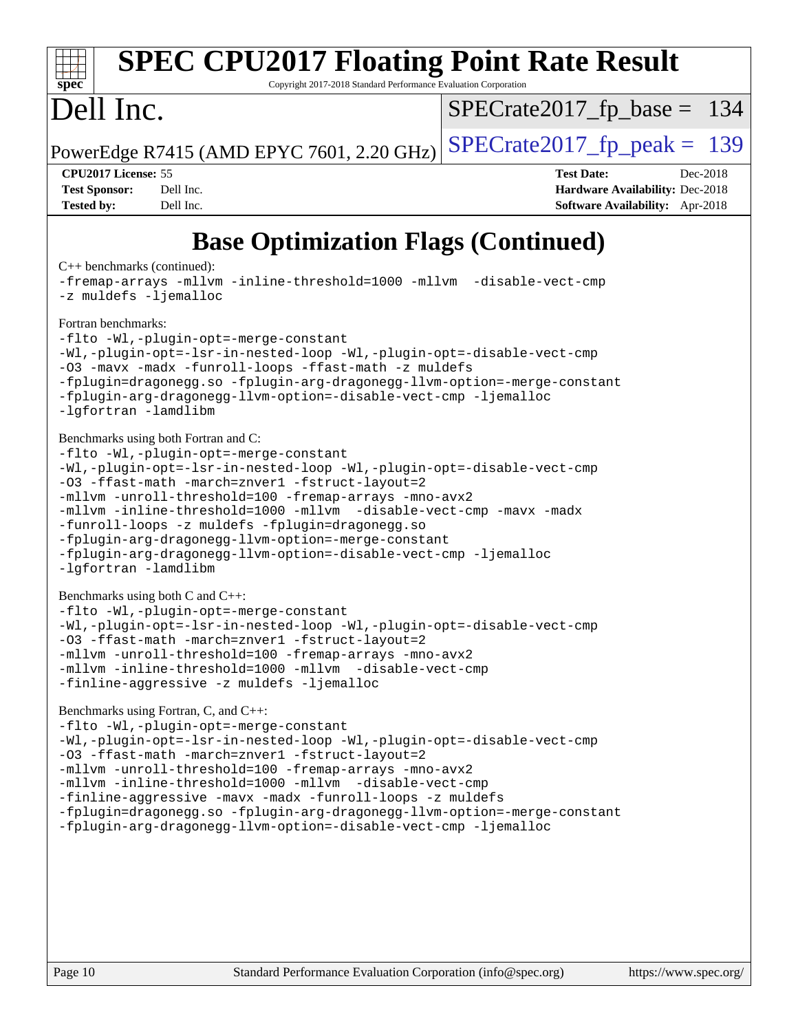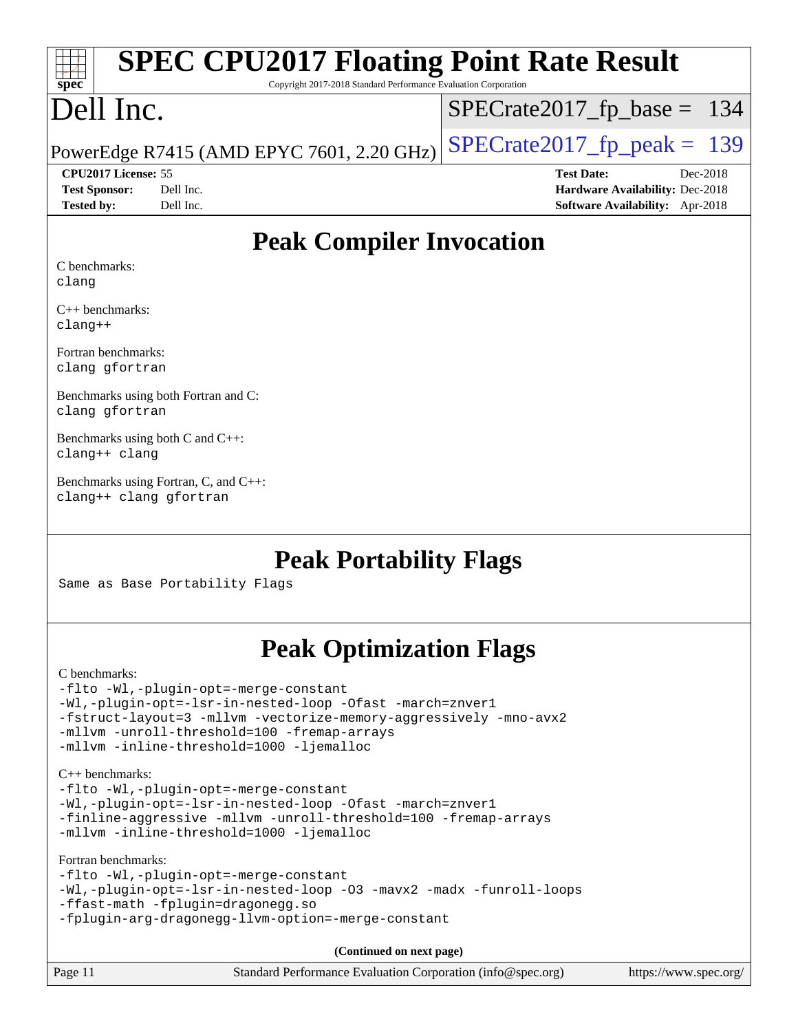# **[spec](http://www.spec.org/)**

# **[SPEC CPU2017 Floating Point Rate Result](http://www.spec.org/auto/cpu2017/Docs/result-fields.html#SPECCPU2017FloatingPointRateResult)**

Copyright 2017-2018 Standard Performance Evaluation Corporation

## Dell Inc.

[SPECrate2017\\_fp\\_base =](http://www.spec.org/auto/cpu2017/Docs/result-fields.html#SPECrate2017fpbase) 134

PowerEdge R7415 (AMD EPYC 7601, 2.20 GHz)  $\left|$  [SPECrate2017\\_fp\\_peak =](http://www.spec.org/auto/cpu2017/Docs/result-fields.html#SPECrate2017fppeak) 139

**[CPU2017 License:](http://www.spec.org/auto/cpu2017/Docs/result-fields.html#CPU2017License)** 55 **[Test Date:](http://www.spec.org/auto/cpu2017/Docs/result-fields.html#TestDate)** Dec-2018

**[Test Sponsor:](http://www.spec.org/auto/cpu2017/Docs/result-fields.html#TestSponsor)** Dell Inc. **[Hardware Availability:](http://www.spec.org/auto/cpu2017/Docs/result-fields.html#HardwareAvailability)** Dec-2018 **[Tested by:](http://www.spec.org/auto/cpu2017/Docs/result-fields.html#Testedby)** Dell Inc. **[Software Availability:](http://www.spec.org/auto/cpu2017/Docs/result-fields.html#SoftwareAvailability)** Apr-2018

#### **[Peak Compiler Invocation](http://www.spec.org/auto/cpu2017/Docs/result-fields.html#PeakCompilerInvocation)**

[C benchmarks](http://www.spec.org/auto/cpu2017/Docs/result-fields.html#Cbenchmarks): [clang](http://www.spec.org/cpu2017/results/res2018q4/cpu2017-20181210-10159.flags.html#user_CCpeak_Fclang3_a68b77bfed473bd9cdd22529af008e8306c2e3948617c8991604c1a2000ee4a73ef90dd8bc793e105fe4165a625d26dacbda4708d828ad19048918c071b363ec)

[C++ benchmarks](http://www.spec.org/auto/cpu2017/Docs/result-fields.html#CXXbenchmarks): [clang++](http://www.spec.org/cpu2017/results/res2018q4/cpu2017-20181210-10159.flags.html#user_CXXpeak_Fclang3_57a48582e5be507d19b2527b3e7d4f85d9b8669ffc9a8a0dbb9bcf949a918a58bbab411e0c4d14a3922022a3e425a90db94042683824c1806feff4324ca1000d)

[Fortran benchmarks:](http://www.spec.org/auto/cpu2017/Docs/result-fields.html#Fortranbenchmarks) [clang](http://www.spec.org/cpu2017/results/res2018q4/cpu2017-20181210-10159.flags.html#user_FCpeak_Fclang3_a68b77bfed473bd9cdd22529af008e8306c2e3948617c8991604c1a2000ee4a73ef90dd8bc793e105fe4165a625d26dacbda4708d828ad19048918c071b363ec) [gfortran](http://www.spec.org/cpu2017/results/res2018q4/cpu2017-20181210-10159.flags.html#user_FCpeak_aocc-gfortran_128c91a56d61ddb07404721e65b8f9498c31a443dacbd3b7f212891090eca86e2d099b520f75b99e9e8ac4fdec01f4d15f0b65e47123ec4c42b0759045731a1f)

[Benchmarks using both Fortran and C](http://www.spec.org/auto/cpu2017/Docs/result-fields.html#BenchmarksusingbothFortranandC): [clang](http://www.spec.org/cpu2017/results/res2018q4/cpu2017-20181210-10159.flags.html#user_CC_FCpeak_Fclang3_a68b77bfed473bd9cdd22529af008e8306c2e3948617c8991604c1a2000ee4a73ef90dd8bc793e105fe4165a625d26dacbda4708d828ad19048918c071b363ec) [gfortran](http://www.spec.org/cpu2017/results/res2018q4/cpu2017-20181210-10159.flags.html#user_CC_FCpeak_aocc-gfortran_128c91a56d61ddb07404721e65b8f9498c31a443dacbd3b7f212891090eca86e2d099b520f75b99e9e8ac4fdec01f4d15f0b65e47123ec4c42b0759045731a1f)

[Benchmarks using both C and C++:](http://www.spec.org/auto/cpu2017/Docs/result-fields.html#BenchmarksusingbothCandCXX) [clang++](http://www.spec.org/cpu2017/results/res2018q4/cpu2017-20181210-10159.flags.html#user_CC_CXXpeak_Fclang3_57a48582e5be507d19b2527b3e7d4f85d9b8669ffc9a8a0dbb9bcf949a918a58bbab411e0c4d14a3922022a3e425a90db94042683824c1806feff4324ca1000d) [clang](http://www.spec.org/cpu2017/results/res2018q4/cpu2017-20181210-10159.flags.html#user_CC_CXXpeak_Fclang3_a68b77bfed473bd9cdd22529af008e8306c2e3948617c8991604c1a2000ee4a73ef90dd8bc793e105fe4165a625d26dacbda4708d828ad19048918c071b363ec)

[Benchmarks using Fortran, C, and C++](http://www.spec.org/auto/cpu2017/Docs/result-fields.html#BenchmarksusingFortranCandCXX): [clang++](http://www.spec.org/cpu2017/results/res2018q4/cpu2017-20181210-10159.flags.html#user_CC_CXX_FCpeak_Fclang3_57a48582e5be507d19b2527b3e7d4f85d9b8669ffc9a8a0dbb9bcf949a918a58bbab411e0c4d14a3922022a3e425a90db94042683824c1806feff4324ca1000d) [clang](http://www.spec.org/cpu2017/results/res2018q4/cpu2017-20181210-10159.flags.html#user_CC_CXX_FCpeak_Fclang3_a68b77bfed473bd9cdd22529af008e8306c2e3948617c8991604c1a2000ee4a73ef90dd8bc793e105fe4165a625d26dacbda4708d828ad19048918c071b363ec) [gfortran](http://www.spec.org/cpu2017/results/res2018q4/cpu2017-20181210-10159.flags.html#user_CC_CXX_FCpeak_aocc-gfortran_128c91a56d61ddb07404721e65b8f9498c31a443dacbd3b7f212891090eca86e2d099b520f75b99e9e8ac4fdec01f4d15f0b65e47123ec4c42b0759045731a1f)

#### **[Peak Portability Flags](http://www.spec.org/auto/cpu2017/Docs/result-fields.html#PeakPortabilityFlags)**

Same as Base Portability Flags

#### **[Peak Optimization Flags](http://www.spec.org/auto/cpu2017/Docs/result-fields.html#PeakOptimizationFlags)**

[C benchmarks](http://www.spec.org/auto/cpu2017/Docs/result-fields.html#Cbenchmarks): [-flto](http://www.spec.org/cpu2017/results/res2018q4/cpu2017-20181210-10159.flags.html#user_CCpeak_lto) [-Wl,-plugin-opt=-merge-constant](http://www.spec.org/cpu2017/results/res2018q4/cpu2017-20181210-10159.flags.html#user_CCpeak_F-merge-constant_1d79771b5442061d9c8e05556c6b0c655e6c9e66f8c6936b0129d434b6acd2b1cf1b7cd2540d1570ff636111b08a6bc36e2e61fc34531f8ef7c1a34c57be1dbb) [-Wl,-plugin-opt=-lsr-in-nested-loop](http://www.spec.org/cpu2017/results/res2018q4/cpu2017-20181210-10159.flags.html#user_CCpeak_lsr-in-nested-loop_1cff93fd95162f5e77640b5271e8bed680fb62b4a8d96fb8ab217ff3244646f1fbb342e31af83c263403bbf5249c7dc7732d5c86c3eab4cc8d32dcb7a6f33ca0) [-Ofast](http://www.spec.org/cpu2017/results/res2018q4/cpu2017-20181210-10159.flags.html#user_CCpeak_F-aocc-Ofast) [-march=znver1](http://www.spec.org/cpu2017/results/res2018q4/cpu2017-20181210-10159.flags.html#user_CCpeak_F-march) [-fstruct-layout=3](http://www.spec.org/cpu2017/results/res2018q4/cpu2017-20181210-10159.flags.html#user_CCpeak_F-fstruct-layout) [-mllvm -vectorize-memory-aggressively](http://www.spec.org/cpu2017/results/res2018q4/cpu2017-20181210-10159.flags.html#user_CCpeak_vectorize-memory-aggressively_24b72a4417f50ade9e698c5b3bed87ab456cc6fc8ec6439480cb84f36ad6a3975af6e87206dea402e3871a1464ff3d60bc798e0250f330177ba629a260df1857) [-mno-avx2](http://www.spec.org/cpu2017/results/res2018q4/cpu2017-20181210-10159.flags.html#user_CCpeak_F-mno-avx2) [-mllvm -unroll-threshold=100](http://www.spec.org/cpu2017/results/res2018q4/cpu2017-20181210-10159.flags.html#user_CCpeak_F-unroll-threshold_2755d0c78138845d361fa1543e3a063fffa198df9b3edf0cfb856bbc88a81e1769b12ac7a550c5d35197be55360db1a3f95a8d1304df999456cabf5120c45168) [-fremap-arrays](http://www.spec.org/cpu2017/results/res2018q4/cpu2017-20181210-10159.flags.html#user_CCpeak_F-fremap-arrays) [-mllvm -inline-threshold=1000](http://www.spec.org/cpu2017/results/res2018q4/cpu2017-20181210-10159.flags.html#user_CCpeak_inline-threshold_b7832241b0a6397e4ecdbaf0eb7defdc10f885c2a282fa3240fdc99844d543fda39cf8a4a9dccf68cf19b5438ac3b455264f478df15da0f4988afa40d8243bab) [-ljemalloc](http://www.spec.org/cpu2017/results/res2018q4/cpu2017-20181210-10159.flags.html#user_CCpeak_jemalloc-lib_d1249b907c500fa1c0672f44f562e3d0f79738ae9e3c4a9c376d49f265a04b9c99b167ecedbf6711b3085be911c67ff61f150a17b3472be731631ba4d0471706) [C++ benchmarks:](http://www.spec.org/auto/cpu2017/Docs/result-fields.html#CXXbenchmarks) [-flto](http://www.spec.org/cpu2017/results/res2018q4/cpu2017-20181210-10159.flags.html#user_CXXpeak_lto) [-Wl,-plugin-opt=-merge-constant](http://www.spec.org/cpu2017/results/res2018q4/cpu2017-20181210-10159.flags.html#user_CXXpeak_F-merge-constant_1d79771b5442061d9c8e05556c6b0c655e6c9e66f8c6936b0129d434b6acd2b1cf1b7cd2540d1570ff636111b08a6bc36e2e61fc34531f8ef7c1a34c57be1dbb) [-Wl,-plugin-opt=-lsr-in-nested-loop](http://www.spec.org/cpu2017/results/res2018q4/cpu2017-20181210-10159.flags.html#user_CXXpeak_lsr-in-nested-loop_1cff93fd95162f5e77640b5271e8bed680fb62b4a8d96fb8ab217ff3244646f1fbb342e31af83c263403bbf5249c7dc7732d5c86c3eab4cc8d32dcb7a6f33ca0) [-Ofast](http://www.spec.org/cpu2017/results/res2018q4/cpu2017-20181210-10159.flags.html#user_CXXpeak_F-aocc-Ofast) [-march=znver1](http://www.spec.org/cpu2017/results/res2018q4/cpu2017-20181210-10159.flags.html#user_CXXpeak_F-march) [-finline-aggressive](http://www.spec.org/cpu2017/results/res2018q4/cpu2017-20181210-10159.flags.html#user_CXXpeak_F-finline-aggressive) [-mllvm -unroll-threshold=100](http://www.spec.org/cpu2017/results/res2018q4/cpu2017-20181210-10159.flags.html#user_CXXpeak_F-unroll-threshold_2755d0c78138845d361fa1543e3a063fffa198df9b3edf0cfb856bbc88a81e1769b12ac7a550c5d35197be55360db1a3f95a8d1304df999456cabf5120c45168) [-fremap-arrays](http://www.spec.org/cpu2017/results/res2018q4/cpu2017-20181210-10159.flags.html#user_CXXpeak_F-fremap-arrays) [-mllvm -inline-threshold=1000](http://www.spec.org/cpu2017/results/res2018q4/cpu2017-20181210-10159.flags.html#user_CXXpeak_inline-threshold_b7832241b0a6397e4ecdbaf0eb7defdc10f885c2a282fa3240fdc99844d543fda39cf8a4a9dccf68cf19b5438ac3b455264f478df15da0f4988afa40d8243bab) [-ljemalloc](http://www.spec.org/cpu2017/results/res2018q4/cpu2017-20181210-10159.flags.html#user_CXXpeak_jemalloc-lib_d1249b907c500fa1c0672f44f562e3d0f79738ae9e3c4a9c376d49f265a04b9c99b167ecedbf6711b3085be911c67ff61f150a17b3472be731631ba4d0471706) [Fortran benchmarks](http://www.spec.org/auto/cpu2017/Docs/result-fields.html#Fortranbenchmarks): [-flto](http://www.spec.org/cpu2017/results/res2018q4/cpu2017-20181210-10159.flags.html#user_FCpeak_lto) [-Wl,-plugin-opt=-merge-constant](http://www.spec.org/cpu2017/results/res2018q4/cpu2017-20181210-10159.flags.html#user_FCpeak_F-merge-constant_1d79771b5442061d9c8e05556c6b0c655e6c9e66f8c6936b0129d434b6acd2b1cf1b7cd2540d1570ff636111b08a6bc36e2e61fc34531f8ef7c1a34c57be1dbb) [-Wl,-plugin-opt=-lsr-in-nested-loop](http://www.spec.org/cpu2017/results/res2018q4/cpu2017-20181210-10159.flags.html#user_FCpeak_lsr-in-nested-loop_1cff93fd95162f5e77640b5271e8bed680fb62b4a8d96fb8ab217ff3244646f1fbb342e31af83c263403bbf5249c7dc7732d5c86c3eab4cc8d32dcb7a6f33ca0) [-O3](http://www.spec.org/cpu2017/results/res2018q4/cpu2017-20181210-10159.flags.html#user_FCpeak_F-O3) [-mavx2](http://www.spec.org/cpu2017/results/res2018q4/cpu2017-20181210-10159.flags.html#user_FCpeak_F-mavx2) [-madx](http://www.spec.org/cpu2017/results/res2018q4/cpu2017-20181210-10159.flags.html#user_FCpeak_F-madx) [-funroll-loops](http://www.spec.org/cpu2017/results/res2018q4/cpu2017-20181210-10159.flags.html#user_FCpeak_aocc-funroll-loops) [-ffast-math](http://www.spec.org/cpu2017/results/res2018q4/cpu2017-20181210-10159.flags.html#user_FCpeak_F-aocc-ffast-math_78dd175de6534c2005829757b9b0f2878e57b067cce6f7c443b2250ac68890960e2e1b320ca04b81ff7c62c6f87870ed05f06baf7875eea2990d38e3b73c71f1) [-fplugin=dragonegg.so](http://www.spec.org/cpu2017/results/res2018q4/cpu2017-20181210-10159.flags.html#user_FCpeak_F-fpluginDragonEgg) [-fplugin-arg-dragonegg-llvm-option=-merge-constant](http://www.spec.org/cpu2017/results/res2018q4/cpu2017-20181210-10159.flags.html#user_FCpeak_F-merge-constant_37fd66d07a4fbae8f1b816e843c3ed1ebaa48f794b65ea8be746a1880566a3d23eba4a3c37b5c024650311adcf9247c62af28144803b3729b14be14423fa5142) **(Continued on next page)**

| Page 11 | Standard Performance Evaluation Corporation (info@spec.org) | https://www.spec.org/ |
|---------|-------------------------------------------------------------|-----------------------|
|         |                                                             |                       |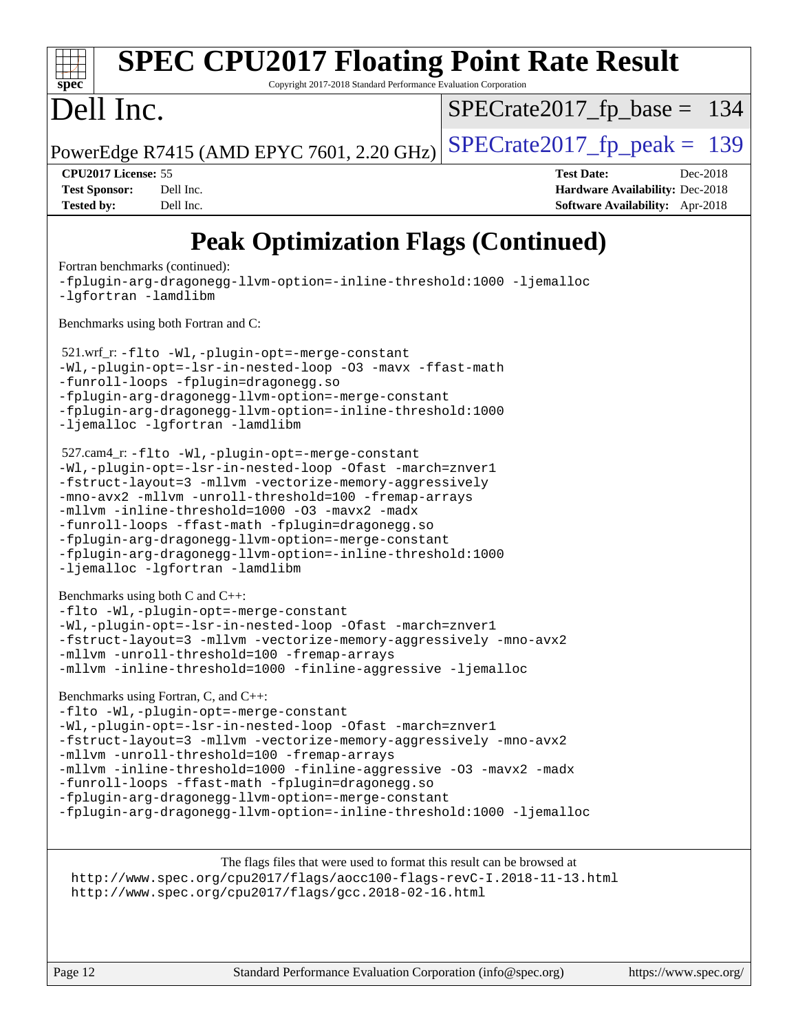| $spec^*$                                   | <b>SPEC CPU2017 Floating Point Rate Result</b><br>Copyright 2017-2018 Standard Performance Evaluation Corporation |                                           |                               |                   |                                        |          |
|--------------------------------------------|-------------------------------------------------------------------------------------------------------------------|-------------------------------------------|-------------------------------|-------------------|----------------------------------------|----------|
|                                            |                                                                                                                   |                                           |                               |                   |                                        |          |
| Dell Inc.                                  |                                                                                                                   |                                           | $SPECrate2017_fp\_base = 134$ |                   |                                        |          |
|                                            |                                                                                                                   | PowerEdge R7415 (AMD EPYC 7601, 2.20 GHz) | $SPECrate2017_fp\_peak = 139$ |                   |                                        |          |
| <b>CPU2017 License: 55</b>                 |                                                                                                                   |                                           |                               | <b>Test Date:</b> |                                        | Dec-2018 |
| <b>Test Sponsor:</b>                       | Dell Inc.                                                                                                         |                                           |                               |                   | <b>Hardware Availability: Dec-2018</b> |          |
| <b>Tested by:</b>                          | Dell Inc.                                                                                                         |                                           |                               |                   | Software Availability: Apr-2018        |          |
| <b>Peak Optimization Flags (Continued)</b> |                                                                                                                   |                                           |                               |                   |                                        |          |

[-Wl,-plugin-opt=-lsr-in-nested-loop](http://www.spec.org/cpu2017/results/res2018q4/cpu2017-20181210-10159.flags.html#user_peakEXTRA_LDFLAGS521_wrf_r_lsr-in-nested-loop_1cff93fd95162f5e77640b5271e8bed680fb62b4a8d96fb8ab217ff3244646f1fbb342e31af83c263403bbf5249c7dc7732d5c86c3eab4cc8d32dcb7a6f33ca0) [-O3](http://www.spec.org/cpu2017/results/res2018q4/cpu2017-20181210-10159.flags.html#user_peakCOPTIMIZEFOPTIMIZE521_wrf_r_F-O3) [-mavx](http://www.spec.org/cpu2017/results/res2018q4/cpu2017-20181210-10159.flags.html#user_peakCOPTIMIZEFOPTIMIZE521_wrf_r_F-mavx) [-ffast-math](http://www.spec.org/cpu2017/results/res2018q4/cpu2017-20181210-10159.flags.html#user_peakCOPTIMIZEFOPTIMIZE521_wrf_r_F-aocc-ffast-math_78dd175de6534c2005829757b9b0f2878e57b067cce6f7c443b2250ac68890960e2e1b320ca04b81ff7c62c6f87870ed05f06baf7875eea2990d38e3b73c71f1) [-funroll-loops](http://www.spec.org/cpu2017/results/res2018q4/cpu2017-20181210-10159.flags.html#user_peakFOPTIMIZE521_wrf_r_aocc-funroll-loops) [-fplugin=dragonegg.so](http://www.spec.org/cpu2017/results/res2018q4/cpu2017-20181210-10159.flags.html#user_peakEXTRA_FFLAGS521_wrf_r_F-fpluginDragonEgg) [-fplugin-arg-dragonegg-llvm-option=-merge-constant](http://www.spec.org/cpu2017/results/res2018q4/cpu2017-20181210-10159.flags.html#user_peakEXTRA_FFLAGS521_wrf_r_F-merge-constant_37fd66d07a4fbae8f1b816e843c3ed1ebaa48f794b65ea8be746a1880566a3d23eba4a3c37b5c024650311adcf9247c62af28144803b3729b14be14423fa5142) [-fplugin-arg-dragonegg-llvm-option=-inline-threshold:1000](http://www.spec.org/cpu2017/results/res2018q4/cpu2017-20181210-10159.flags.html#user_peakEXTRA_FFLAGS521_wrf_r_inline-threshold_eec74946bf81becf626625ea3f1757217b7f1e09b0c056df6f4a6dc542562255a9e8a6d36c454b3b2ed3e147f40cf87a14a68e01ad47a8b90b49f15f387f919f) [-ljemalloc](http://www.spec.org/cpu2017/results/res2018q4/cpu2017-20181210-10159.flags.html#user_peakEXTRA_LIBS521_wrf_r_jemalloc-lib_d1249b907c500fa1c0672f44f562e3d0f79738ae9e3c4a9c376d49f265a04b9c99b167ecedbf6711b3085be911c67ff61f150a17b3472be731631ba4d0471706) [-lgfortran](http://www.spec.org/cpu2017/results/res2018q4/cpu2017-20181210-10159.flags.html#user_peakEXTRA_FLIBS521_wrf_r_F-lgfortran) [-lamdlibm](http://www.spec.org/cpu2017/results/res2018q4/cpu2017-20181210-10159.flags.html#user_peakEXTRA_FLIBS521_wrf_r_F-lamdlibm) 527.cam4\_r: [-flto](http://www.spec.org/cpu2017/results/res2018q4/cpu2017-20181210-10159.flags.html#user_peakCOPTIMIZEEXTRA_LDFLAGS527_cam4_r_lto) [-Wl,-plugin-opt=-merge-constant](http://www.spec.org/cpu2017/results/res2018q4/cpu2017-20181210-10159.flags.html#user_peakEXTRA_LDFLAGS527_cam4_r_F-merge-constant_1d79771b5442061d9c8e05556c6b0c655e6c9e66f8c6936b0129d434b6acd2b1cf1b7cd2540d1570ff636111b08a6bc36e2e61fc34531f8ef7c1a34c57be1dbb) [-Wl,-plugin-opt=-lsr-in-nested-loop](http://www.spec.org/cpu2017/results/res2018q4/cpu2017-20181210-10159.flags.html#user_peakEXTRA_LDFLAGS527_cam4_r_lsr-in-nested-loop_1cff93fd95162f5e77640b5271e8bed680fb62b4a8d96fb8ab217ff3244646f1fbb342e31af83c263403bbf5249c7dc7732d5c86c3eab4cc8d32dcb7a6f33ca0) [-Ofast](http://www.spec.org/cpu2017/results/res2018q4/cpu2017-20181210-10159.flags.html#user_peakCOPTIMIZE527_cam4_r_F-aocc-Ofast) [-march=znver1](http://www.spec.org/cpu2017/results/res2018q4/cpu2017-20181210-10159.flags.html#user_peakCOPTIMIZE527_cam4_r_F-march) [-fstruct-layout=3](http://www.spec.org/cpu2017/results/res2018q4/cpu2017-20181210-10159.flags.html#user_peakCOPTIMIZE527_cam4_r_F-fstruct-layout) [-mllvm -vectorize-memory-aggressively](http://www.spec.org/cpu2017/results/res2018q4/cpu2017-20181210-10159.flags.html#user_peakCOPTIMIZE527_cam4_r_vectorize-memory-aggressively_24b72a4417f50ade9e698c5b3bed87ab456cc6fc8ec6439480cb84f36ad6a3975af6e87206dea402e3871a1464ff3d60bc798e0250f330177ba629a260df1857) [-mno-avx2](http://www.spec.org/cpu2017/results/res2018q4/cpu2017-20181210-10159.flags.html#user_peakCOPTIMIZE527_cam4_r_F-mno-avx2) [-mllvm -unroll-threshold=100](http://www.spec.org/cpu2017/results/res2018q4/cpu2017-20181210-10159.flags.html#user_peakCOPTIMIZE527_cam4_r_F-unroll-threshold_2755d0c78138845d361fa1543e3a063fffa198df9b3edf0cfb856bbc88a81e1769b12ac7a550c5d35197be55360db1a3f95a8d1304df999456cabf5120c45168) [-fremap-arrays](http://www.spec.org/cpu2017/results/res2018q4/cpu2017-20181210-10159.flags.html#user_peakCOPTIMIZE527_cam4_r_F-fremap-arrays) [-mllvm -inline-threshold=1000](http://www.spec.org/cpu2017/results/res2018q4/cpu2017-20181210-10159.flags.html#user_peakCOPTIMIZE527_cam4_r_inline-threshold_b7832241b0a6397e4ecdbaf0eb7defdc10f885c2a282fa3240fdc99844d543fda39cf8a4a9dccf68cf19b5438ac3b455264f478df15da0f4988afa40d8243bab) [-O3](http://www.spec.org/cpu2017/results/res2018q4/cpu2017-20181210-10159.flags.html#user_peakFOPTIMIZE527_cam4_r_F-O3) [-mavx2](http://www.spec.org/cpu2017/results/res2018q4/cpu2017-20181210-10159.flags.html#user_peakFOPTIMIZE527_cam4_r_F-mavx2) [-madx](http://www.spec.org/cpu2017/results/res2018q4/cpu2017-20181210-10159.flags.html#user_peakFOPTIMIZE527_cam4_r_F-madx) [-funroll-loops](http://www.spec.org/cpu2017/results/res2018q4/cpu2017-20181210-10159.flags.html#user_peakFOPTIMIZE527_cam4_r_aocc-funroll-loops) [-ffast-math](http://www.spec.org/cpu2017/results/res2018q4/cpu2017-20181210-10159.flags.html#user_peakFOPTIMIZE527_cam4_r_F-aocc-ffast-math_78dd175de6534c2005829757b9b0f2878e57b067cce6f7c443b2250ac68890960e2e1b320ca04b81ff7c62c6f87870ed05f06baf7875eea2990d38e3b73c71f1) [-fplugin=dragonegg.so](http://www.spec.org/cpu2017/results/res2018q4/cpu2017-20181210-10159.flags.html#user_peakEXTRA_FFLAGS527_cam4_r_F-fpluginDragonEgg) [-fplugin-arg-dragonegg-llvm-option=-merge-constant](http://www.spec.org/cpu2017/results/res2018q4/cpu2017-20181210-10159.flags.html#user_peakEXTRA_FFLAGS527_cam4_r_F-merge-constant_37fd66d07a4fbae8f1b816e843c3ed1ebaa48f794b65ea8be746a1880566a3d23eba4a3c37b5c024650311adcf9247c62af28144803b3729b14be14423fa5142) [-fplugin-arg-dragonegg-llvm-option=-inline-threshold:1000](http://www.spec.org/cpu2017/results/res2018q4/cpu2017-20181210-10159.flags.html#user_peakEXTRA_FFLAGS527_cam4_r_inline-threshold_eec74946bf81becf626625ea3f1757217b7f1e09b0c056df6f4a6dc542562255a9e8a6d36c454b3b2ed3e147f40cf87a14a68e01ad47a8b90b49f15f387f919f) [-ljemalloc](http://www.spec.org/cpu2017/results/res2018q4/cpu2017-20181210-10159.flags.html#user_peakEXTRA_LIBS527_cam4_r_jemalloc-lib_d1249b907c500fa1c0672f44f562e3d0f79738ae9e3c4a9c376d49f265a04b9c99b167ecedbf6711b3085be911c67ff61f150a17b3472be731631ba4d0471706) [-lgfortran](http://www.spec.org/cpu2017/results/res2018q4/cpu2017-20181210-10159.flags.html#user_peakEXTRA_FLIBS527_cam4_r_F-lgfortran) [-lamdlibm](http://www.spec.org/cpu2017/results/res2018q4/cpu2017-20181210-10159.flags.html#user_peakEXTRA_FLIBS527_cam4_r_F-lamdlibm)

[-fplugin-arg-dragonegg-llvm-option=-inline-threshold:1000](http://www.spec.org/cpu2017/results/res2018q4/cpu2017-20181210-10159.flags.html#user_FCpeak_inline-threshold_eec74946bf81becf626625ea3f1757217b7f1e09b0c056df6f4a6dc542562255a9e8a6d36c454b3b2ed3e147f40cf87a14a68e01ad47a8b90b49f15f387f919f) [-ljemalloc](http://www.spec.org/cpu2017/results/res2018q4/cpu2017-20181210-10159.flags.html#user_FCpeak_jemalloc-lib_d1249b907c500fa1c0672f44f562e3d0f79738ae9e3c4a9c376d49f265a04b9c99b167ecedbf6711b3085be911c67ff61f150a17b3472be731631ba4d0471706)

[Fortran benchmarks](http://www.spec.org/auto/cpu2017/Docs/result-fields.html#Fortranbenchmarks) (continued):

[Benchmarks using both Fortran and C](http://www.spec.org/auto/cpu2017/Docs/result-fields.html#BenchmarksusingbothFortranandC):

521.wrf\_r: [-flto](http://www.spec.org/cpu2017/results/res2018q4/cpu2017-20181210-10159.flags.html#user_peakEXTRA_LDFLAGS521_wrf_r_lto) [-Wl,-plugin-opt=-merge-constant](http://www.spec.org/cpu2017/results/res2018q4/cpu2017-20181210-10159.flags.html#user_peakEXTRA_LDFLAGS521_wrf_r_F-merge-constant_1d79771b5442061d9c8e05556c6b0c655e6c9e66f8c6936b0129d434b6acd2b1cf1b7cd2540d1570ff636111b08a6bc36e2e61fc34531f8ef7c1a34c57be1dbb)

[-lgfortran](http://www.spec.org/cpu2017/results/res2018q4/cpu2017-20181210-10159.flags.html#user_FCpeak_F-lgfortran) [-lamdlibm](http://www.spec.org/cpu2017/results/res2018q4/cpu2017-20181210-10159.flags.html#user_FCpeak_F-lamdlibm)

[Benchmarks using both C and C++](http://www.spec.org/auto/cpu2017/Docs/result-fields.html#BenchmarksusingbothCandCXX): [-flto](http://www.spec.org/cpu2017/results/res2018q4/cpu2017-20181210-10159.flags.html#user_CC_CXXpeak_lto) [-Wl,-plugin-opt=-merge-constant](http://www.spec.org/cpu2017/results/res2018q4/cpu2017-20181210-10159.flags.html#user_CC_CXXpeak_F-merge-constant_1d79771b5442061d9c8e05556c6b0c655e6c9e66f8c6936b0129d434b6acd2b1cf1b7cd2540d1570ff636111b08a6bc36e2e61fc34531f8ef7c1a34c57be1dbb) [-Wl,-plugin-opt=-lsr-in-nested-loop](http://www.spec.org/cpu2017/results/res2018q4/cpu2017-20181210-10159.flags.html#user_CC_CXXpeak_lsr-in-nested-loop_1cff93fd95162f5e77640b5271e8bed680fb62b4a8d96fb8ab217ff3244646f1fbb342e31af83c263403bbf5249c7dc7732d5c86c3eab4cc8d32dcb7a6f33ca0) [-Ofast](http://www.spec.org/cpu2017/results/res2018q4/cpu2017-20181210-10159.flags.html#user_CC_CXXpeak_F-aocc-Ofast) [-march=znver1](http://www.spec.org/cpu2017/results/res2018q4/cpu2017-20181210-10159.flags.html#user_CC_CXXpeak_F-march) [-fstruct-layout=3](http://www.spec.org/cpu2017/results/res2018q4/cpu2017-20181210-10159.flags.html#user_CC_CXXpeak_F-fstruct-layout) [-mllvm -vectorize-memory-aggressively](http://www.spec.org/cpu2017/results/res2018q4/cpu2017-20181210-10159.flags.html#user_CC_CXXpeak_vectorize-memory-aggressively_24b72a4417f50ade9e698c5b3bed87ab456cc6fc8ec6439480cb84f36ad6a3975af6e87206dea402e3871a1464ff3d60bc798e0250f330177ba629a260df1857) [-mno-avx2](http://www.spec.org/cpu2017/results/res2018q4/cpu2017-20181210-10159.flags.html#user_CC_CXXpeak_F-mno-avx2) [-mllvm -unroll-threshold=100](http://www.spec.org/cpu2017/results/res2018q4/cpu2017-20181210-10159.flags.html#user_CC_CXXpeak_F-unroll-threshold_2755d0c78138845d361fa1543e3a063fffa198df9b3edf0cfb856bbc88a81e1769b12ac7a550c5d35197be55360db1a3f95a8d1304df999456cabf5120c45168) [-fremap-arrays](http://www.spec.org/cpu2017/results/res2018q4/cpu2017-20181210-10159.flags.html#user_CC_CXXpeak_F-fremap-arrays) [-mllvm -inline-threshold=1000](http://www.spec.org/cpu2017/results/res2018q4/cpu2017-20181210-10159.flags.html#user_CC_CXXpeak_inline-threshold_b7832241b0a6397e4ecdbaf0eb7defdc10f885c2a282fa3240fdc99844d543fda39cf8a4a9dccf68cf19b5438ac3b455264f478df15da0f4988afa40d8243bab) [-finline-aggressive](http://www.spec.org/cpu2017/results/res2018q4/cpu2017-20181210-10159.flags.html#user_CC_CXXpeak_F-finline-aggressive) [-ljemalloc](http://www.spec.org/cpu2017/results/res2018q4/cpu2017-20181210-10159.flags.html#user_CC_CXXpeak_jemalloc-lib_d1249b907c500fa1c0672f44f562e3d0f79738ae9e3c4a9c376d49f265a04b9c99b167ecedbf6711b3085be911c67ff61f150a17b3472be731631ba4d0471706)

[Benchmarks using Fortran, C, and C++:](http://www.spec.org/auto/cpu2017/Docs/result-fields.html#BenchmarksusingFortranCandCXX) [-flto](http://www.spec.org/cpu2017/results/res2018q4/cpu2017-20181210-10159.flags.html#user_CC_CXX_FCpeak_lto) [-Wl,-plugin-opt=-merge-constant](http://www.spec.org/cpu2017/results/res2018q4/cpu2017-20181210-10159.flags.html#user_CC_CXX_FCpeak_F-merge-constant_1d79771b5442061d9c8e05556c6b0c655e6c9e66f8c6936b0129d434b6acd2b1cf1b7cd2540d1570ff636111b08a6bc36e2e61fc34531f8ef7c1a34c57be1dbb) [-Wl,-plugin-opt=-lsr-in-nested-loop](http://www.spec.org/cpu2017/results/res2018q4/cpu2017-20181210-10159.flags.html#user_CC_CXX_FCpeak_lsr-in-nested-loop_1cff93fd95162f5e77640b5271e8bed680fb62b4a8d96fb8ab217ff3244646f1fbb342e31af83c263403bbf5249c7dc7732d5c86c3eab4cc8d32dcb7a6f33ca0) [-Ofast](http://www.spec.org/cpu2017/results/res2018q4/cpu2017-20181210-10159.flags.html#user_CC_CXX_FCpeak_F-aocc-Ofast) [-march=znver1](http://www.spec.org/cpu2017/results/res2018q4/cpu2017-20181210-10159.flags.html#user_CC_CXX_FCpeak_F-march) [-fstruct-layout=3](http://www.spec.org/cpu2017/results/res2018q4/cpu2017-20181210-10159.flags.html#user_CC_CXX_FCpeak_F-fstruct-layout) [-mllvm -vectorize-memory-aggressively](http://www.spec.org/cpu2017/results/res2018q4/cpu2017-20181210-10159.flags.html#user_CC_CXX_FCpeak_vectorize-memory-aggressively_24b72a4417f50ade9e698c5b3bed87ab456cc6fc8ec6439480cb84f36ad6a3975af6e87206dea402e3871a1464ff3d60bc798e0250f330177ba629a260df1857) [-mno-avx2](http://www.spec.org/cpu2017/results/res2018q4/cpu2017-20181210-10159.flags.html#user_CC_CXX_FCpeak_F-mno-avx2) [-mllvm -unroll-threshold=100](http://www.spec.org/cpu2017/results/res2018q4/cpu2017-20181210-10159.flags.html#user_CC_CXX_FCpeak_F-unroll-threshold_2755d0c78138845d361fa1543e3a063fffa198df9b3edf0cfb856bbc88a81e1769b12ac7a550c5d35197be55360db1a3f95a8d1304df999456cabf5120c45168) [-fremap-arrays](http://www.spec.org/cpu2017/results/res2018q4/cpu2017-20181210-10159.flags.html#user_CC_CXX_FCpeak_F-fremap-arrays) [-mllvm -inline-threshold=1000](http://www.spec.org/cpu2017/results/res2018q4/cpu2017-20181210-10159.flags.html#user_CC_CXX_FCpeak_inline-threshold_b7832241b0a6397e4ecdbaf0eb7defdc10f885c2a282fa3240fdc99844d543fda39cf8a4a9dccf68cf19b5438ac3b455264f478df15da0f4988afa40d8243bab) [-finline-aggressive](http://www.spec.org/cpu2017/results/res2018q4/cpu2017-20181210-10159.flags.html#user_CC_CXX_FCpeak_F-finline-aggressive) [-O3](http://www.spec.org/cpu2017/results/res2018q4/cpu2017-20181210-10159.flags.html#user_CC_CXX_FCpeak_F-O3) [-mavx2](http://www.spec.org/cpu2017/results/res2018q4/cpu2017-20181210-10159.flags.html#user_CC_CXX_FCpeak_F-mavx2) [-madx](http://www.spec.org/cpu2017/results/res2018q4/cpu2017-20181210-10159.flags.html#user_CC_CXX_FCpeak_F-madx) [-funroll-loops](http://www.spec.org/cpu2017/results/res2018q4/cpu2017-20181210-10159.flags.html#user_CC_CXX_FCpeak_aocc-funroll-loops) [-ffast-math](http://www.spec.org/cpu2017/results/res2018q4/cpu2017-20181210-10159.flags.html#user_CC_CXX_FCpeak_F-aocc-ffast-math_78dd175de6534c2005829757b9b0f2878e57b067cce6f7c443b2250ac68890960e2e1b320ca04b81ff7c62c6f87870ed05f06baf7875eea2990d38e3b73c71f1) [-fplugin=dragonegg.so](http://www.spec.org/cpu2017/results/res2018q4/cpu2017-20181210-10159.flags.html#user_CC_CXX_FCpeak_F-fpluginDragonEgg) [-fplugin-arg-dragonegg-llvm-option=-merge-constant](http://www.spec.org/cpu2017/results/res2018q4/cpu2017-20181210-10159.flags.html#user_CC_CXX_FCpeak_F-merge-constant_37fd66d07a4fbae8f1b816e843c3ed1ebaa48f794b65ea8be746a1880566a3d23eba4a3c37b5c024650311adcf9247c62af28144803b3729b14be14423fa5142)

[-fplugin-arg-dragonegg-llvm-option=-inline-threshold:1000](http://www.spec.org/cpu2017/results/res2018q4/cpu2017-20181210-10159.flags.html#user_CC_CXX_FCpeak_inline-threshold_eec74946bf81becf626625ea3f1757217b7f1e09b0c056df6f4a6dc542562255a9e8a6d36c454b3b2ed3e147f40cf87a14a68e01ad47a8b90b49f15f387f919f) [-ljemalloc](http://www.spec.org/cpu2017/results/res2018q4/cpu2017-20181210-10159.flags.html#user_CC_CXX_FCpeak_jemalloc-lib_d1249b907c500fa1c0672f44f562e3d0f79738ae9e3c4a9c376d49f265a04b9c99b167ecedbf6711b3085be911c67ff61f150a17b3472be731631ba4d0471706)

The flags files that were used to format this result can be browsed at <http://www.spec.org/cpu2017/flags/aocc100-flags-revC-I.2018-11-13.html> <http://www.spec.org/cpu2017/flags/gcc.2018-02-16.html>